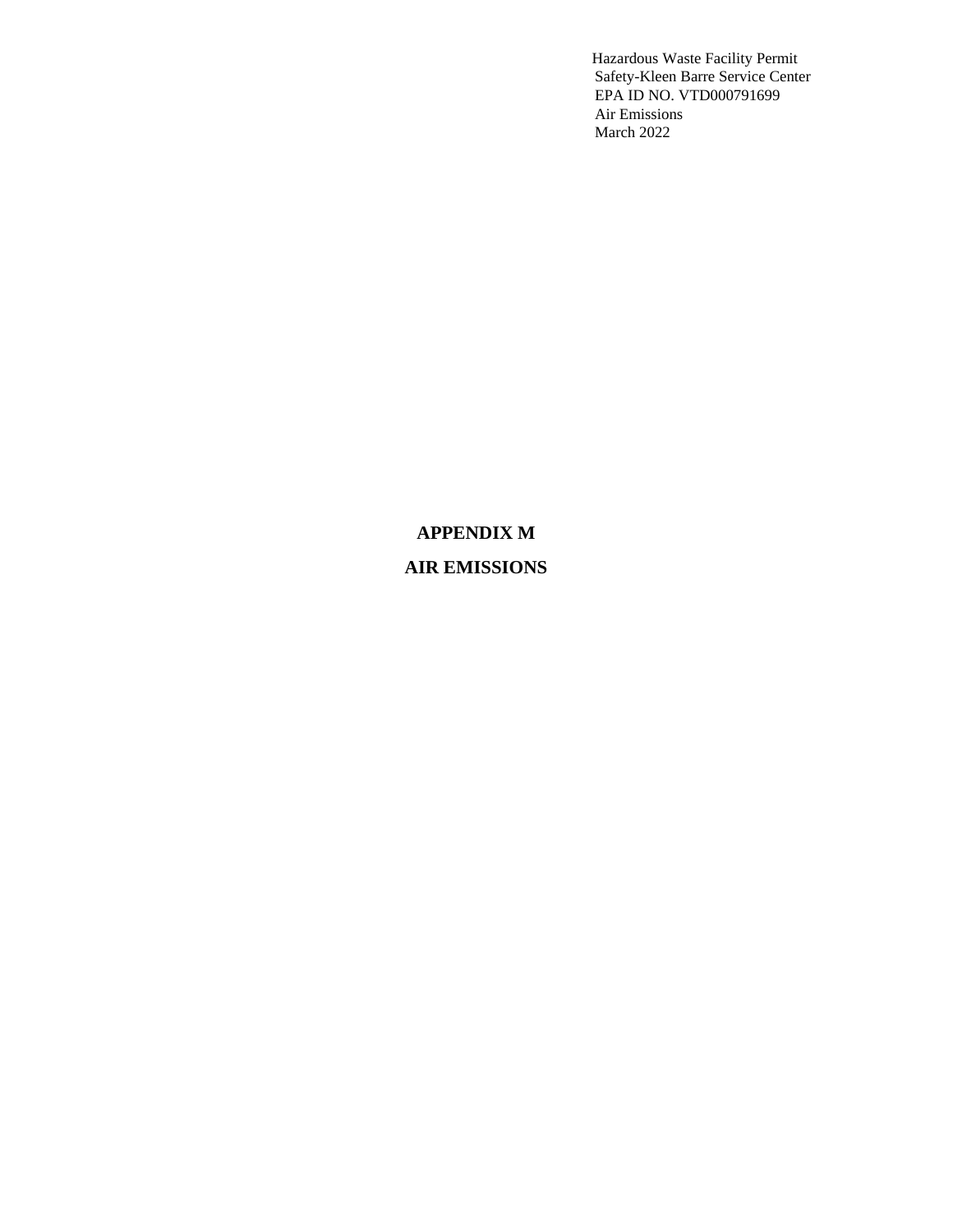#### **APPENDIX M**

### **AIR EMISSIONS**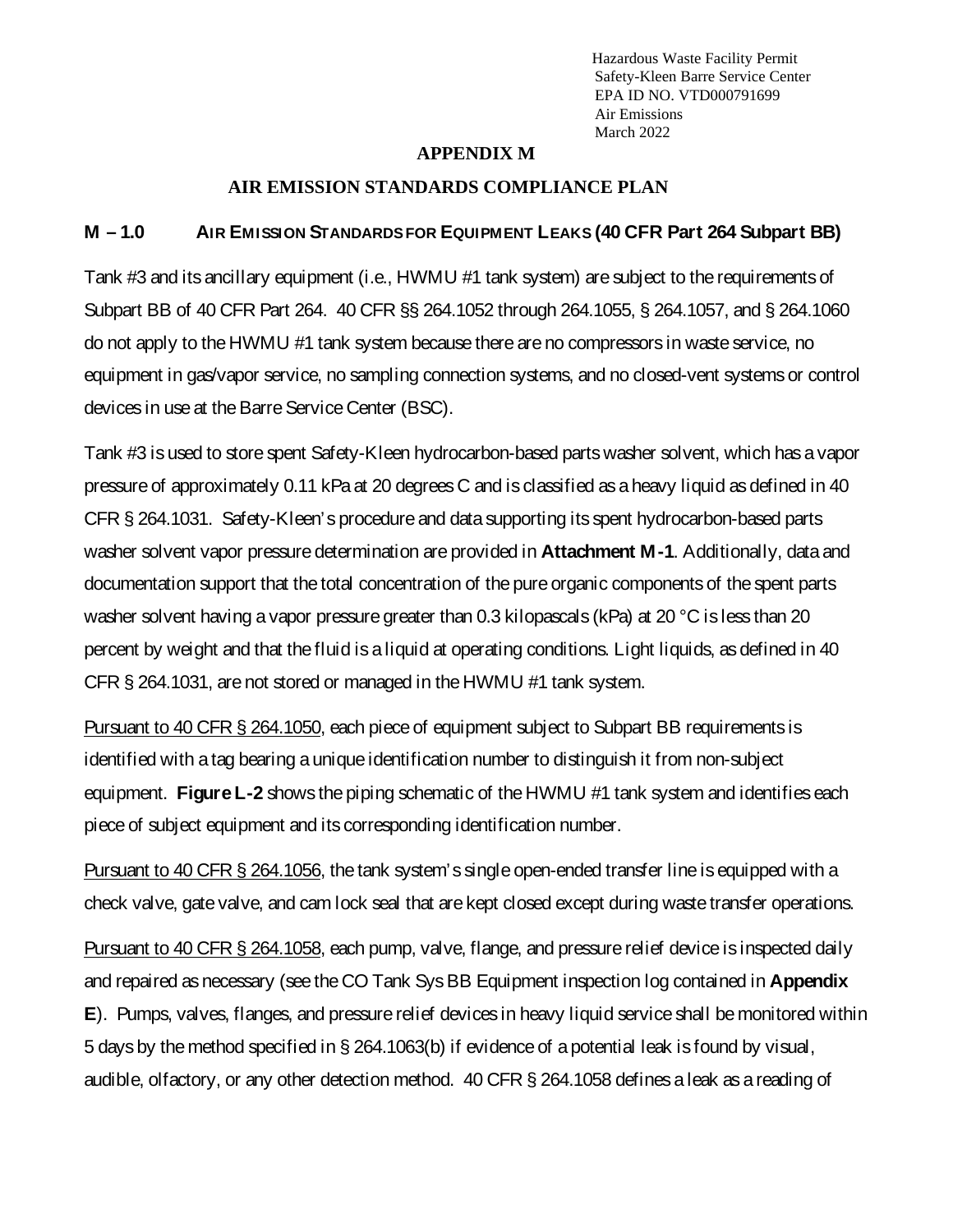#### **APPENDIX M**

#### **AIR EMISSION STANDARDS COMPLIANCE PLAN**

#### **M – 1.0 AIR EMISSION STANDARDS FOR EQUIPMENT LEAKS (40 CFR Part 264 Subpart BB)**

Tank #3 and its ancillary equipment (i.e., HWMU #1 tank system) are subject to the requirements of Subpart BB of 40 CFR Part 264. 40 CFR §§ 264.1052 through 264.1055, § 264.1057, and § 264.1060 do not apply to the HWMU #1 tank system because there are no compressors in waste service, no equipment in gas/vapor service, no sampling connection systems, and no closed-vent systems or control devices in use at the Barre Service Center (BSC).

Tank #3 is used to store spent Safety-Kleen hydrocarbon-based parts washer solvent, which has a vapor pressure of approximately 0.11 kPaat 20 degrees C and is classified as a heavy liquid as defined in 40 CFR § 264.1031. Safety-Kleen's procedure and data supporting its spent hydrocarbon-based parts washer solvent vapor pressure determination are provided in **Attachment M-1**. Additionally, data and documentation support that the total concentration of the pure organic components of the spent parts washer solvent having a vapor pressure greater than 0.3 kilopascals (kPa) at 20 °C is less than 20 percent by weight and that the fluid is a liquid at operating conditions. Light liquids, as defined in 40 CFR § 264.1031, are not stored or managed in the HWMU #1 tank system.

Pursuant to 40 CFR § 264.1050, each piece of equipment subject to Subpart BB requirements is identified with a tag bearing a unique identification number to distinguish it from non-subject equipment. **Figure L-2** shows the piping schematic of the HWMU #1 tank system and identifies each piece of subject equipment and its corresponding identification number.

Pursuant to 40 CFR § 264.1056, the tank system's single open-ended transfer lineis equipped with a check valve, gate valve, and cam lock seal that are kept closed except during waste transfer operations.

Pursuant to 40 CFR § 264.1058, each pump, valve, flange, and pressure relief device is inspected daily and repaired as necessary (see the CO Tank Sys BB Equipment inspection log contained in **Appendix E**). Pumps, valves, flanges, and pressure relief devices in heavy liquid service shall be monitored within 5 days by the method specified in [§ 264.1063\(b\)](https://www.ecfr.gov/current/title-40/section-264.1063#p-264.1063(b)) if evidence of a potential leak is found by visual, audible, olfactory, or any other detection method. 40 CFR § 264.1058 defines a leak as a reading of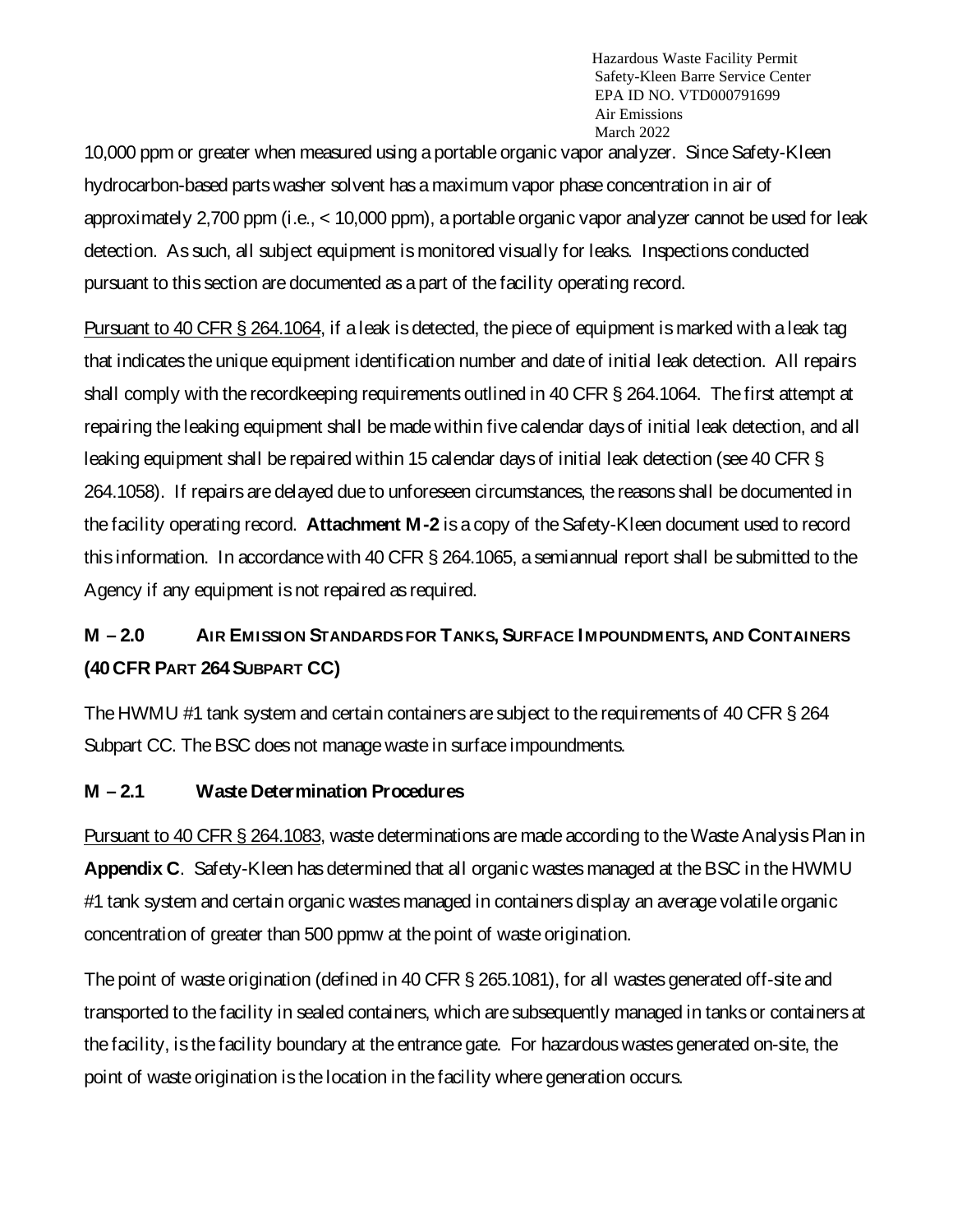10,000 ppm or greater when measured using a portable organic vapor analyzer. Since Safety-Kleen hydrocarbon-based parts washer solvent has a maximum vapor phase concentration in air of approximately 2,700 ppm (i.e., < 10,000 ppm), a portable organic vapor analyzer cannot beused for leak detection. As such, all subject equipment is monitored visually for leaks. Inspections conducted pursuant to this section are documented as a part of the facility operating record.

Pursuant to 40 CFR § 264.1064, if a leak is detected, the piece of equipment is marked with a leak tag that indicates the unique equipment identification number and date of initial leak detection. All repairs shall comply with the recordkeeping requirements outlined in 40 CFR § 264.1064. The first attempt at repairing the leaking equipment shall be made within five calendar days of initial leak detection, and all leaking equipment shall be repaired within 15 calendar days of initial leak detection (see 40 CFR § 264.1058). If repairs are delayed due to unforeseen circumstances, the reasons shall be documented in the facility operating record. **Attachment M-2** is a copy of the Safety-Kleen document used to record this information. In accordance with 40 CFR § 264.1065, a semiannual report shall be submitted to the Agency if any equipment is not repaired as required.

# **M – 2.0 AIR EMISSION STANDARDS FOR TANKS, SURFACE I MPOUNDMENTS, AND CONTAINERS (40CFR PART 264SUBPART CC)**

The HWMU #1 tank system and certain containers are subject to the requirements of 40 CFR § 264 Subpart CC. The BSC does not manage waste in surface impoundments.

### **M – 2.1 Waste Determination Procedures**

Pursuant to 40 CFR § 264.1083, waste determinations are made according to the Waste Analysis Plan in **Appendix C**. Safety-Kleen has determined that all organic wastes managed at the BSC in the HWMU #1 tank system and certain organic wastes managed in containers display an average volatile organic concentration of greater than 500 ppmw at the point of waste origination.

The point of waste origination (defined in 40 CFR § 265.1081), for all wastes generated off-site and transported to the facility in sealed containers, which aresubsequently managed in tanks or containers at the facility, is the facility boundary at the entrance gate. For hazardouswastes generated on-site, the point of waste origination is the location in the facility where generation occurs.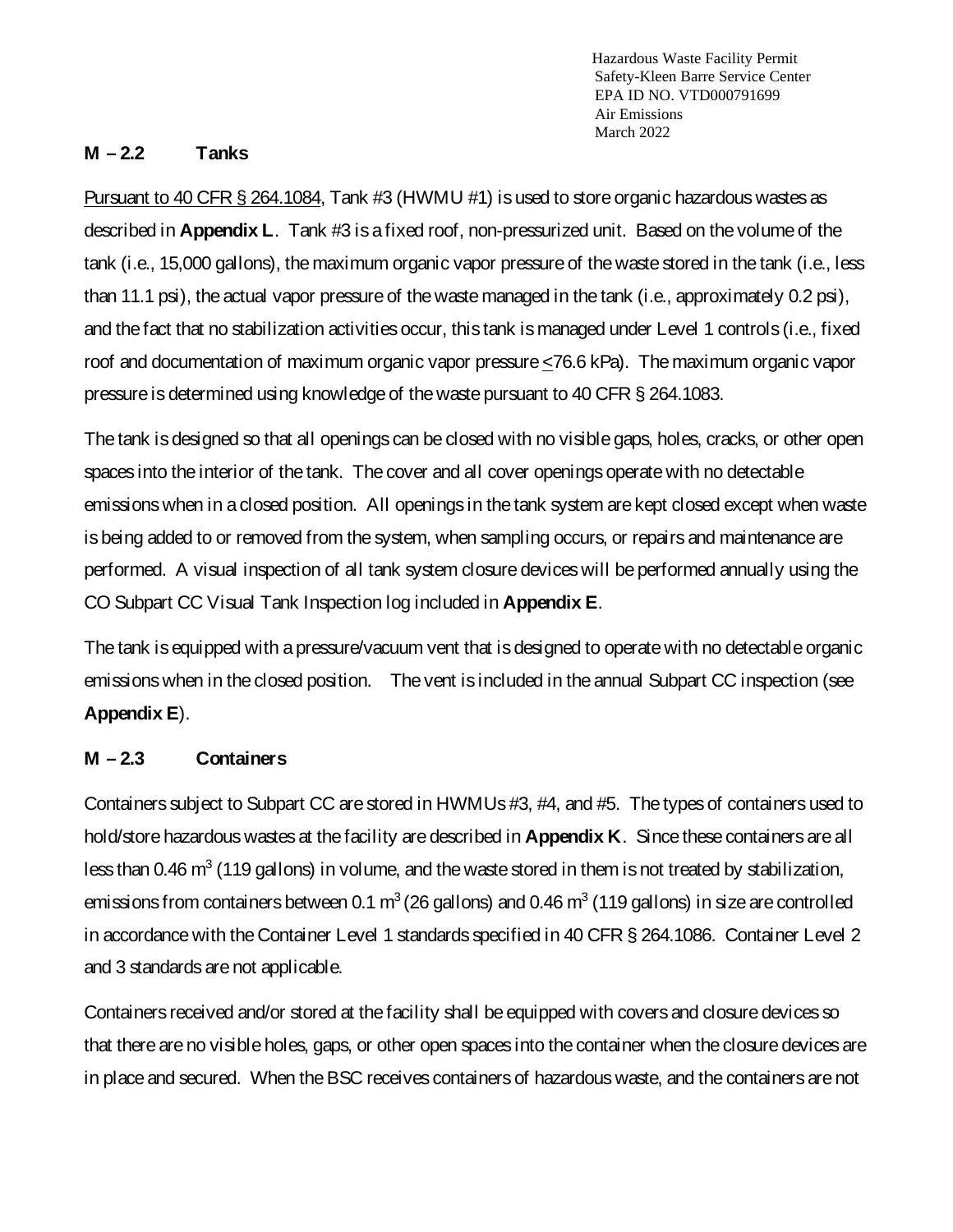#### **M – 2.2 Tanks**

Pursuant to 40 CFR § 264.1084, Tank #3 (HWMU #1) is used to store organic hazardous wastes as described in **Appendix L**. Tank #3 is a fixed roof, non-pressurized unit. Based on the volume of the tank (i.e., 15,000 gallons), the maximum organic vapor pressure of the waste stored in the tank (i.e., less than 11.1 psi), the actual vapor pressure of the waste managed in the tank (i.e., approximately 0.2 psi), and the fact that no stabilization activities occur, this tank is managed under Level 1 controls (i.e., fixed roof and documentation of maximum organic vapor pressure <76.6 kPa). The maximum organic vapor pressure is determined using knowledge of the waste pursuant to 40 CFR § 264.1083.

The tank is designed so that all openings can be closed with no visible gaps, holes, cracks, or other open spaces into the interior of the tank. The cover and all cover openings operate with no detectable emissions when in a closed position. All openings in the tank system are kept closed except when waste is being added to or removed from the system, when sampling occurs, or repairs and maintenance are performed. A visual inspection of all tank system closure deviceswill be performed annually using the CO Subpart CC Visual Tank Inspection log included in **Appendix E**.

The tank is equipped with a pressure/vacuum vent that is designed to operate with no detectable organic emissionswhen in the closed position. The vent is included in the annual Subpart CC inspection (see **Appendix E**).

### **M – 2.3 Containers**

Containers subject to Subpart CC are stored in HWMUs #3, #4, and #5. The types of containers used to hold/store hazardous wastes at the facility are described in **Appendix K**. Sincethese containers are all less than 0.46  $m^3$  (119 gallons) in volume, and the waste stored in them is not treated by stabilization, emissions from containers between 0.1  $m^3$  (26 gallons) and 0.46  $m^3$  (119 gallons) in size are controlled in accordance with the Container Level 1 standards specified in 40 CFR § 264.1086. Container Level 2 and 3 standards arenot applicable.

Containers received and/or stored at the facility shall be equipped with covers and closure devices so that there are no visible holes, gaps, or other open spaces into the container when the closure devices are in place and secured. When the BSC receives containers of hazardous waste, and the containers are not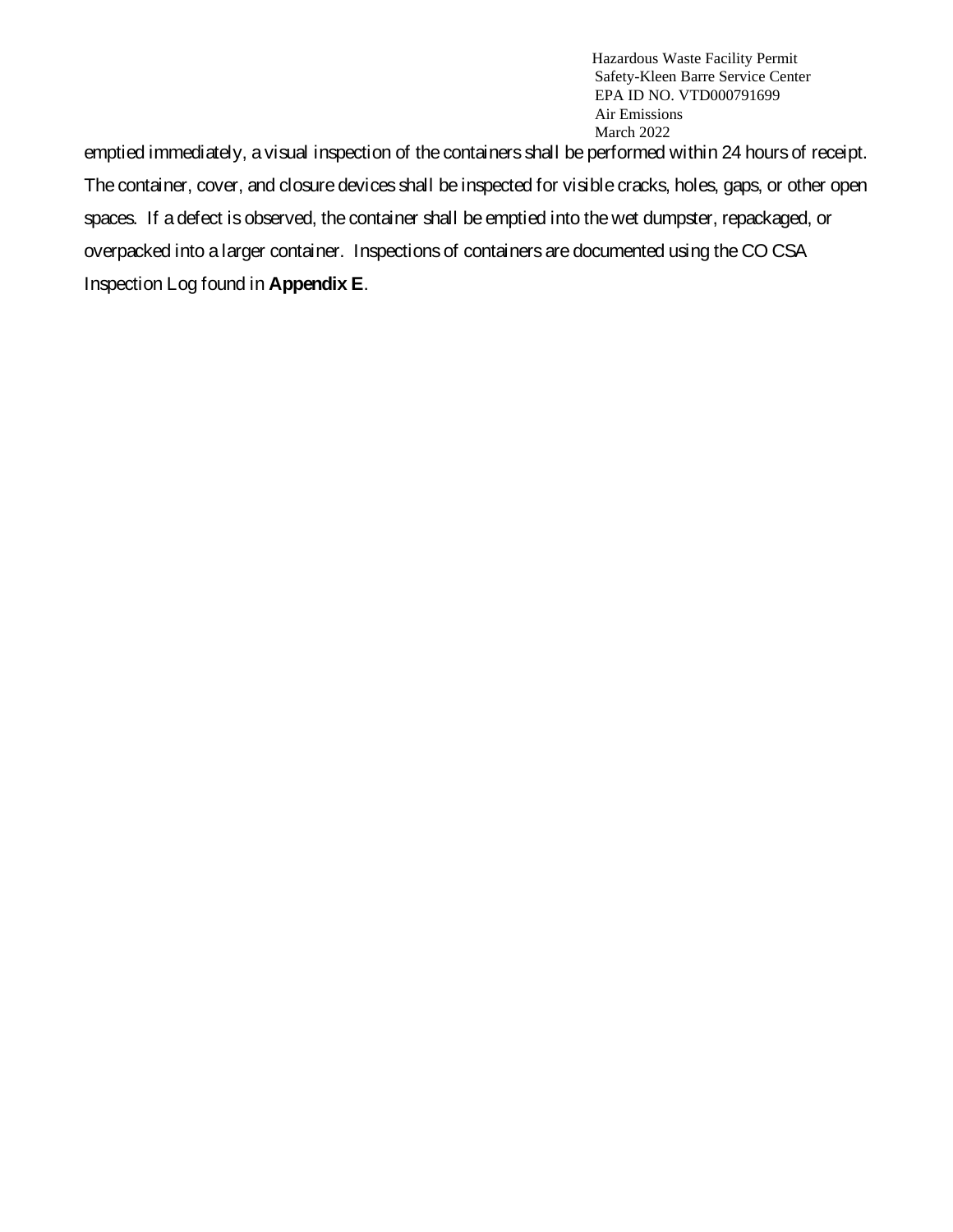emptied immediately, a visual inspection of the containers shall be performed within 24 hours of receipt. The container, cover, and closure devices shall be inspected for visible cracks, holes, gaps, or other open spaces. If a defect is observed, the container shall be emptied into the wet dumpster, repackaged, or overpacked into a larger container. Inspections of containers are documented using theCO CSA Inspection Log found in **Appendix E**.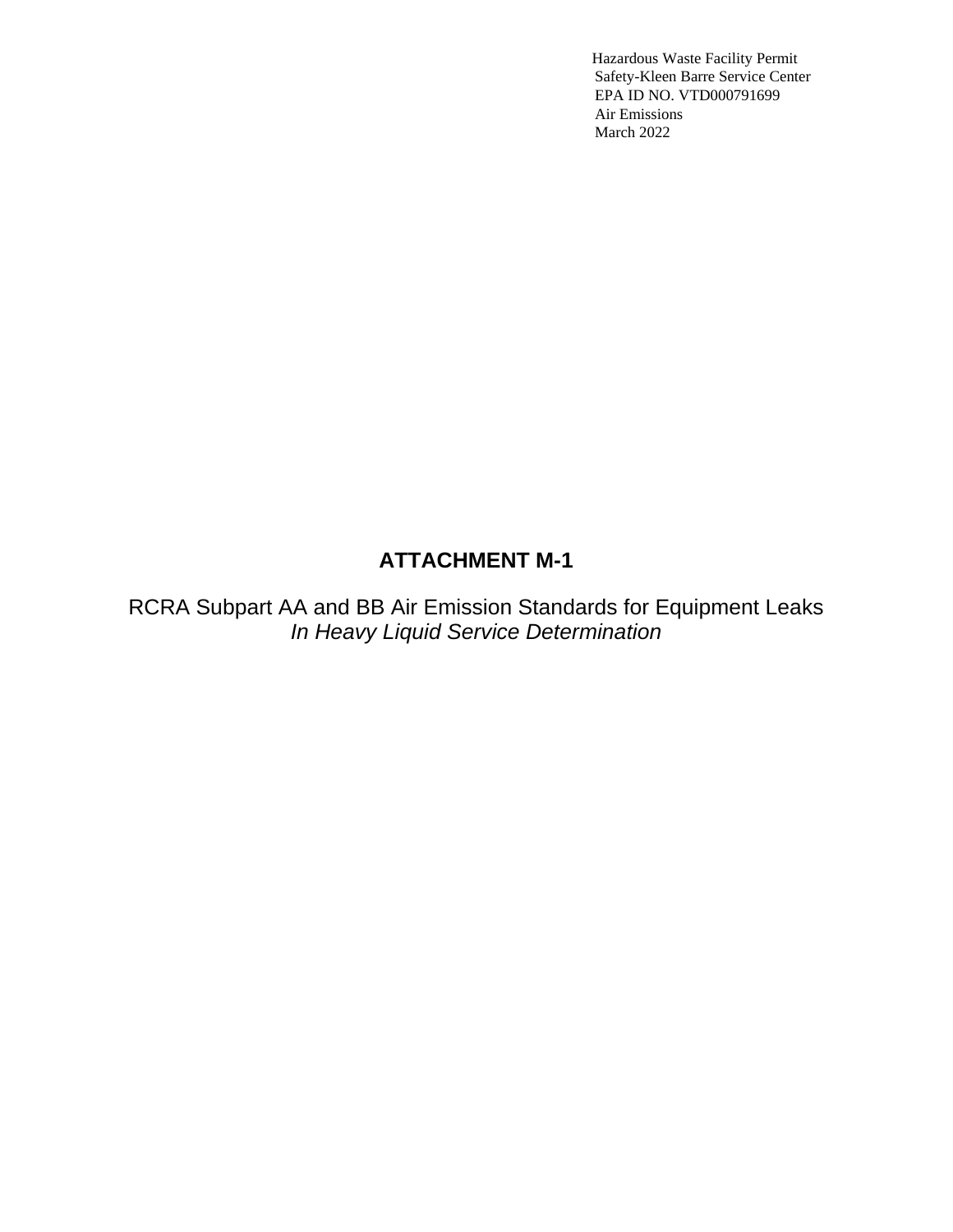## **ATTACHMENT M-1**

RCRA Subpart AA and BB Air Emission Standards for Equipment Leaks *In Heavy Liquid Service Determination*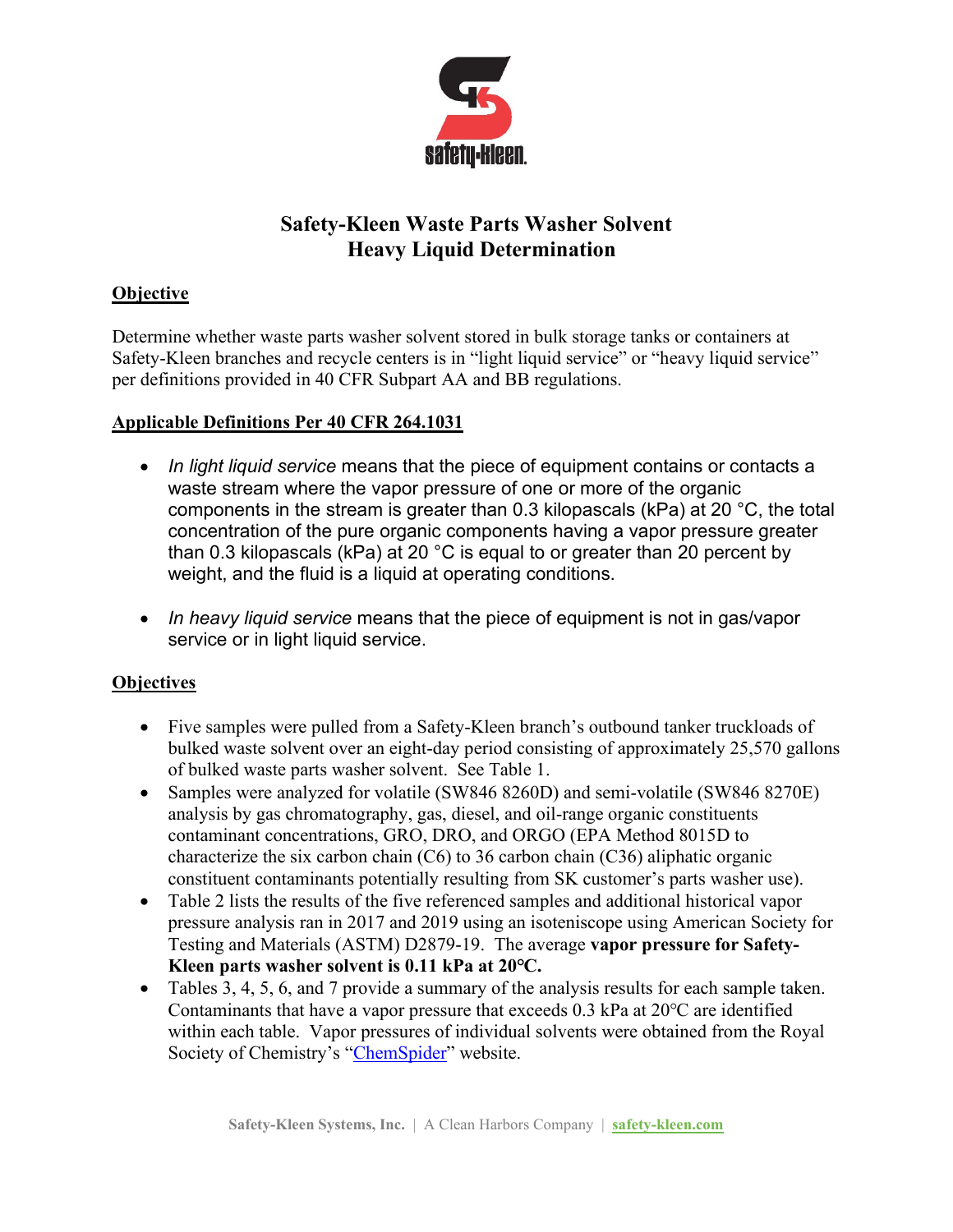

## **Safety-Kleen Waste Parts Washer Solvent Heavy Liquid Determination**

### **Objective**

Determine whether waste parts washer solvent stored in bulk storage tanks or containers at Safety-Kleen branches and recycle centers is in "light liquid service" or "heavy liquid service" per definitions provided in 40 CFR Subpart AA and BB regulations.

### **Applicable Definitions Per 40 CFR 264.1031**

- *In light liquid service* means that the piece of [equipment](https://www.law.cornell.edu/definitions/index.php?width=840&height=800&iframe=true&def_id=fdd2887dfbd7eefc61eef1497e7c4e2d&term_occur=999&term_src=Title:40:Chapter:I:Subchapter:I:Part:264:Subpart:AA:264.1031) contains or contacts a waste stream where the vapor pressure of one or more of the organic components in the stream is greater than 0.3 kilopascals (kPa) at 20 °C, the total concentration of the pure organic components having a vapor pressure greater than 0.3 kilopascals (kPa) at 20 °C is equal to or greater than 20 percent by weight, and the fluid is a liquid at operating conditions.
- *In heavy liquid service* means that the piece of equipment is not in gas/vapor service or in light liquid service.

### **Objectives**

- Five samples were pulled from a Safety-Kleen branch's outbound tanker truckloads of bulked waste solvent over an eight-day period consisting of approximately 25,570 gallons of bulked waste parts washer solvent. See Table 1.
- Samples were analyzed for volatile (SW846 8260D) and semi-volatile (SW846 8270E) analysis by gas chromatography, gas, diesel, and oil-range organic constituents contaminant concentrations, GRO, DRO, and ORGO (EPA Method 8015D to characterize the six carbon chain  $(C6)$  to 36 carbon chain  $(C36)$  aliphatic organic constituent contaminants potentially resulting from SK customer's parts washer use).
- Table 2 lists the results of the five referenced samples and additional historical vapor pressure analysis ran in 2017 and 2019 using an isoteniscope using American Society for Testing and Materials (ASTM) D2879-19. The average **vapor pressure for Safety-Kleen parts washer solvent is 0.11 kPa at 20℃.**
- Tables 3, 4, 5, 6, and 7 provide a summary of the analysis results for each sample taken. Contaminants that have a vapor pressure that exceeds 0.3 kPa at 20℃ are identified within each table. Vapor pressures of individual solvents were obtained from the Royal Society of Chemistry's ["ChemSpider"](http://www.chemspider.com/Default.aspx) website.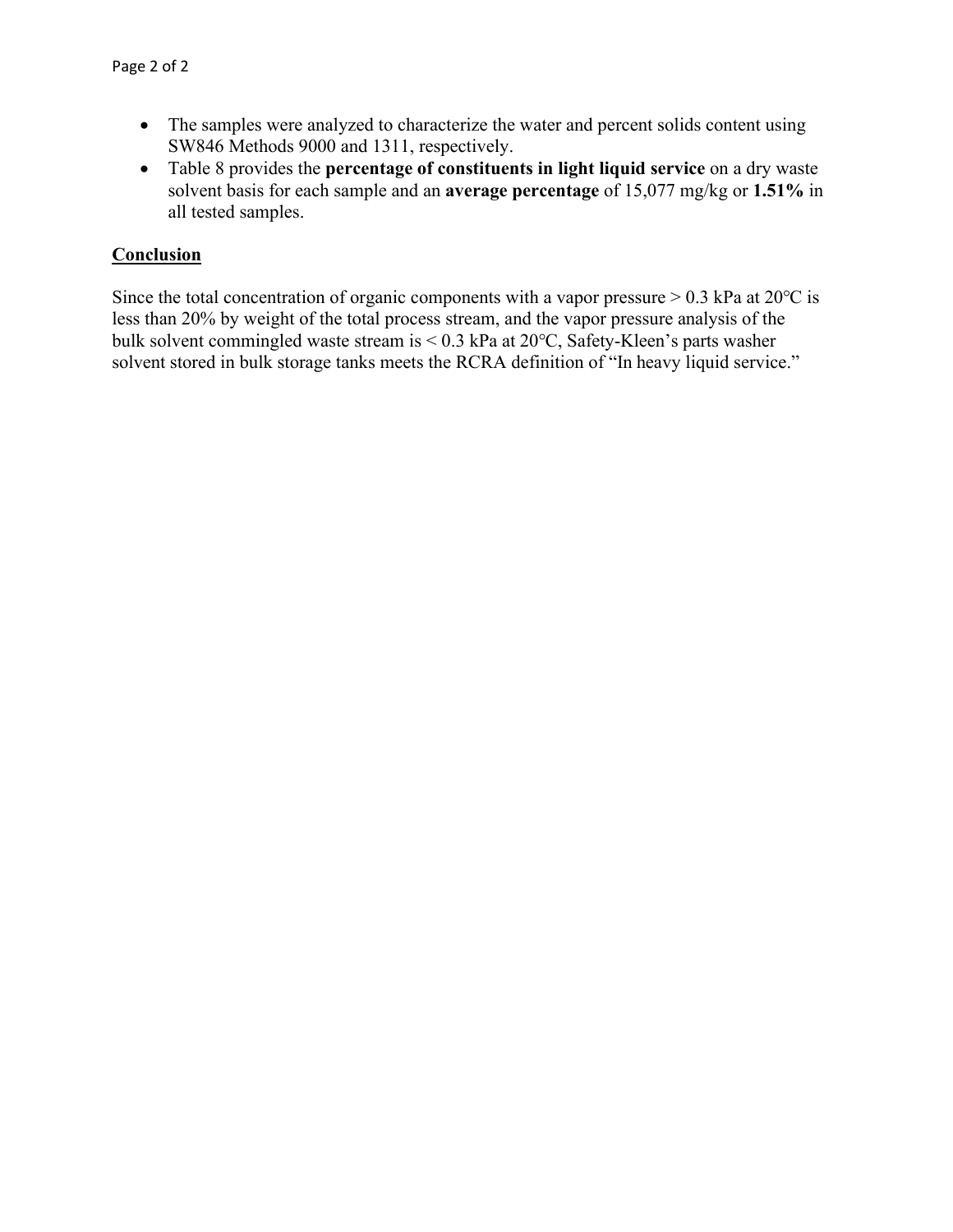- The samples were analyzed to characterize the water and percent solids content using SW846 Methods 9000 and 1311, respectively.
- Table 8 provides the **percentage of constituents in light liquid service** on a dry waste solvent basis for each sample and an **average percentage** of 15,077 mg/kg or **1.51%** in all tested samples.

#### **Conclusion**

Since the total concentration of organic components with a vapor pressure  $> 0.3$  kPa at 20°C is less than 20% by weight of the total process stream, and the vapor pressure analysis of the bulk solvent commingled waste stream is < 0.3 kPa at 20℃, Safety-Kleen's parts washer solvent stored in bulk storage tanks meets the RCRA definition of "In heavy liquid service."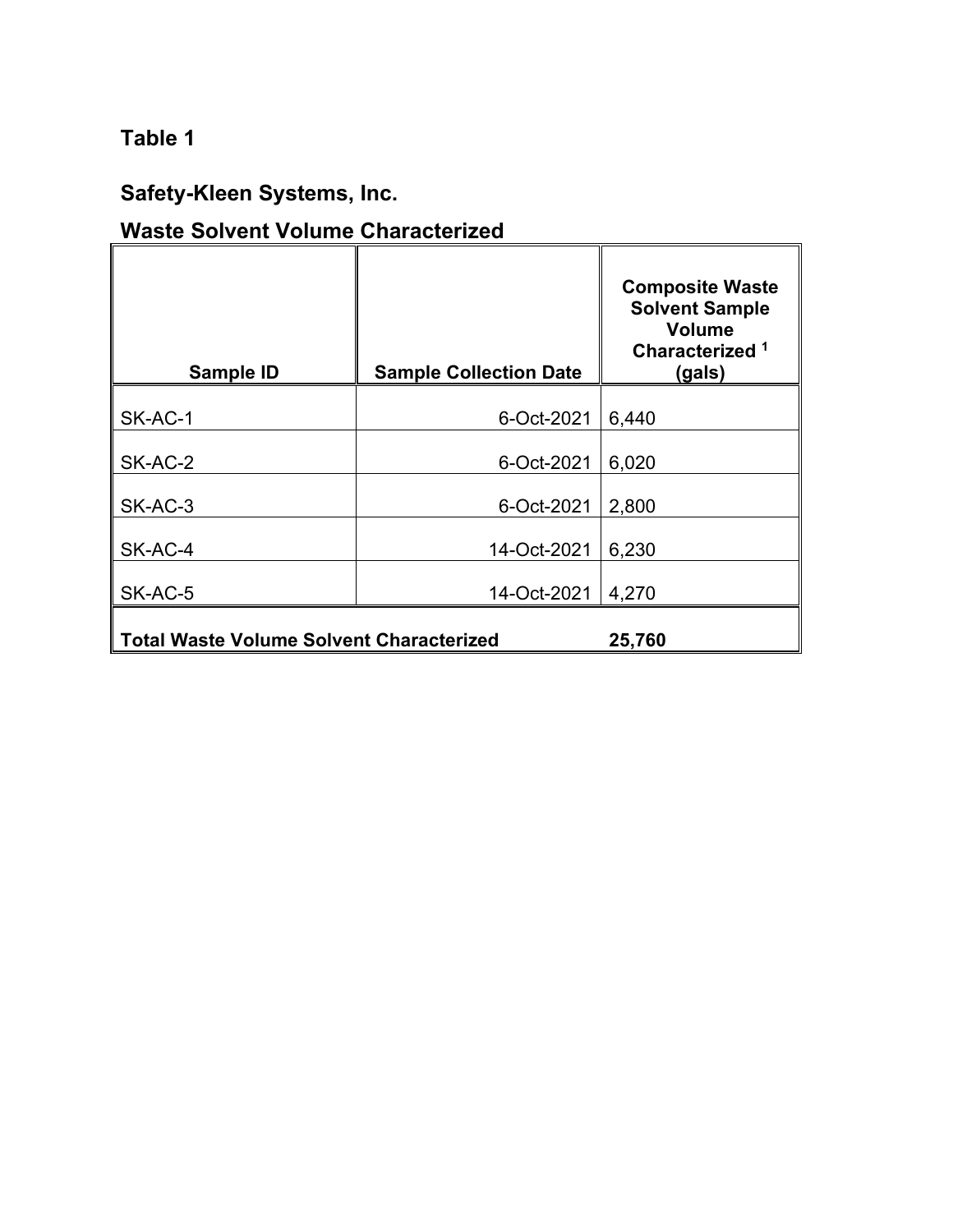# **Table 1**

# **Safety-Kleen Systems, Inc.**

# **Waste Solvent Volume Characterized**

| Sample ID                                       | <b>Sample Collection Date</b> | <b>Composite Waste</b><br><b>Solvent Sample</b><br><b>Volume</b><br>Characterized <sup>1</sup><br>(gals) |
|-------------------------------------------------|-------------------------------|----------------------------------------------------------------------------------------------------------|
| SK-AC-1                                         | 6-Oct-2021                    | 6,440                                                                                                    |
| SK-AC-2                                         | 6-Oct-2021                    | 6,020                                                                                                    |
| SK-AC-3                                         | 6-Oct-2021                    | 2,800                                                                                                    |
| SK-AC-4                                         | 14-Oct-2021                   | 6,230                                                                                                    |
| SK-AC-5                                         | 14-Oct-2021                   | 4,270                                                                                                    |
| <b>Total Waste Volume Solvent Characterized</b> | 25,760                        |                                                                                                          |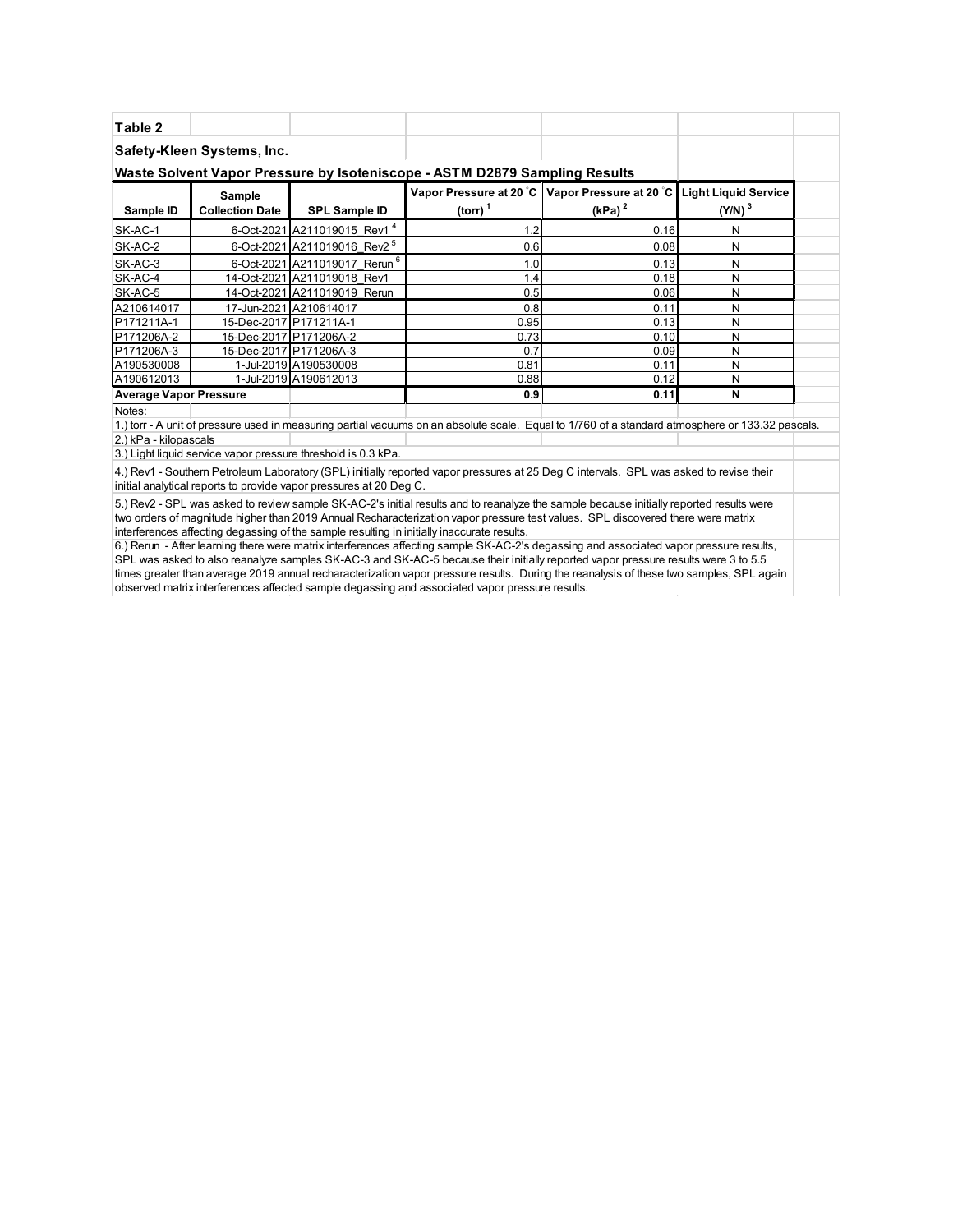| Table 2                                                                                                                                                                                                      |                                  |                                                               |                                                                                                                                                                                                                                                                                                                                                                          |                                                                   |                                                   |  |  |  |
|--------------------------------------------------------------------------------------------------------------------------------------------------------------------------------------------------------------|----------------------------------|---------------------------------------------------------------|--------------------------------------------------------------------------------------------------------------------------------------------------------------------------------------------------------------------------------------------------------------------------------------------------------------------------------------------------------------------------|-------------------------------------------------------------------|---------------------------------------------------|--|--|--|
|                                                                                                                                                                                                              | Safety-Kleen Systems, Inc.       |                                                               |                                                                                                                                                                                                                                                                                                                                                                          |                                                                   |                                                   |  |  |  |
|                                                                                                                                                                                                              |                                  |                                                               | Waste Solvent Vapor Pressure by Isoteniscope - ASTM D2879 Sampling Results                                                                                                                                                                                                                                                                                               |                                                                   |                                                   |  |  |  |
| Sample ID                                                                                                                                                                                                    | Sample<br><b>Collection Date</b> | <b>SPL Sample ID</b>                                          | (torr) $1$                                                                                                                                                                                                                                                                                                                                                               | Vapor Pressure at 20 °C   Vapor Pressure at 20 °C   <br>$(kPa)^2$ | <b>Light Liquid Service</b><br>(Y/N) <sup>3</sup> |  |  |  |
| SK-AC-1                                                                                                                                                                                                      |                                  | 6-Oct-2021 A211019015 Rev1 <sup>4</sup>                       | 1.2                                                                                                                                                                                                                                                                                                                                                                      | 0.16                                                              | N                                                 |  |  |  |
| SK-AC-2                                                                                                                                                                                                      |                                  | 6-Oct-2021 A211019016 Rev2 <sup>5</sup>                       | 0.6                                                                                                                                                                                                                                                                                                                                                                      | 0.08                                                              | N                                                 |  |  |  |
| SK-AC-3                                                                                                                                                                                                      |                                  | 6-Oct-2021 A211019017 Rerun <sup>6</sup>                      | 1.0                                                                                                                                                                                                                                                                                                                                                                      | 0.13                                                              | N                                                 |  |  |  |
| SK-AC-4                                                                                                                                                                                                      |                                  | 14-Oct-2021 A211019018 Rev1                                   | 1.4                                                                                                                                                                                                                                                                                                                                                                      | 0.18                                                              | N                                                 |  |  |  |
| SK-AC-5                                                                                                                                                                                                      |                                  | 14-Oct-2021 A211019019 Rerun                                  | 0.5                                                                                                                                                                                                                                                                                                                                                                      | 0.06                                                              | N                                                 |  |  |  |
| A210614017                                                                                                                                                                                                   |                                  | 17-Jun-2021 A210614017                                        | 0.8                                                                                                                                                                                                                                                                                                                                                                      | 0.11                                                              | N                                                 |  |  |  |
| P171211A-1                                                                                                                                                                                                   | 15-Dec-2017 P171211A-1           |                                                               | 0.95                                                                                                                                                                                                                                                                                                                                                                     | 0.13                                                              | N                                                 |  |  |  |
| P171206A-2                                                                                                                                                                                                   |                                  | 15-Dec-2017 P171206A-2                                        | 0.73                                                                                                                                                                                                                                                                                                                                                                     | 0.10                                                              | N                                                 |  |  |  |
| P171206A-3                                                                                                                                                                                                   |                                  | 15-Dec-2017 P171206A-3                                        | 0.7                                                                                                                                                                                                                                                                                                                                                                      | 0.09                                                              | N                                                 |  |  |  |
| A190530008                                                                                                                                                                                                   |                                  | 1-Jul-2019 A190530008                                         | 0.81                                                                                                                                                                                                                                                                                                                                                                     | 0.11                                                              | N                                                 |  |  |  |
| A190612013                                                                                                                                                                                                   |                                  | 1-Jul-2019 A190612013                                         | 0.88                                                                                                                                                                                                                                                                                                                                                                     | 0.12                                                              | N                                                 |  |  |  |
| <b>Average Vapor Pressure</b>                                                                                                                                                                                |                                  |                                                               | 0.9                                                                                                                                                                                                                                                                                                                                                                      | 0.11                                                              | N                                                 |  |  |  |
| Notes:                                                                                                                                                                                                       |                                  |                                                               |                                                                                                                                                                                                                                                                                                                                                                          |                                                                   |                                                   |  |  |  |
|                                                                                                                                                                                                              |                                  |                                                               | 1.) torr - A unit of pressure used in measuring partial vacuums on an absolute scale. Equal to 1/760 of a standard atmosphere or 133.32 pascals.                                                                                                                                                                                                                         |                                                                   |                                                   |  |  |  |
| 2.) kPa - kilopascals                                                                                                                                                                                        |                                  |                                                               |                                                                                                                                                                                                                                                                                                                                                                          |                                                                   |                                                   |  |  |  |
|                                                                                                                                                                                                              |                                  | 3.) Light liquid service vapor pressure threshold is 0.3 kPa. |                                                                                                                                                                                                                                                                                                                                                                          |                                                                   |                                                   |  |  |  |
| 4.) Rev1 - Southern Petroleum Laboratory (SPL) initially reported vapor pressures at 25 Deg C intervals. SPL was asked to revise their<br>initial analytical reports to provide vapor pressures at 20 Deg C. |                                  |                                                               |                                                                                                                                                                                                                                                                                                                                                                          |                                                                   |                                                   |  |  |  |
|                                                                                                                                                                                                              |                                  |                                                               | 5.) Rev2 - SPL was asked to review sample SK-AC-2's initial results and to reanalyze the sample because initially reported results were<br>two orders of magnitude higher than 2019 Annual Recharacterization vapor pressure test values. SPL discovered there were matrix<br>interferences affecting degassing of the sample resulting in initially inaccurate results. |                                                                   |                                                   |  |  |  |

6.) Rerun - After learning there were matrix interferences affecting sample SK-AC-2's degassing and associated vapor pressure results, SPL was asked to also reanalyze samples SK-AC-3 and SK-AC-5 because their initially reported vapor pressure results were 3 to 5.5 times greater than average 2019 annual recharacterization vapor pressure results. During the reanalysis of these two samples, SPL again observed matrix interferences affected sample degassing and associated vapor pressure results.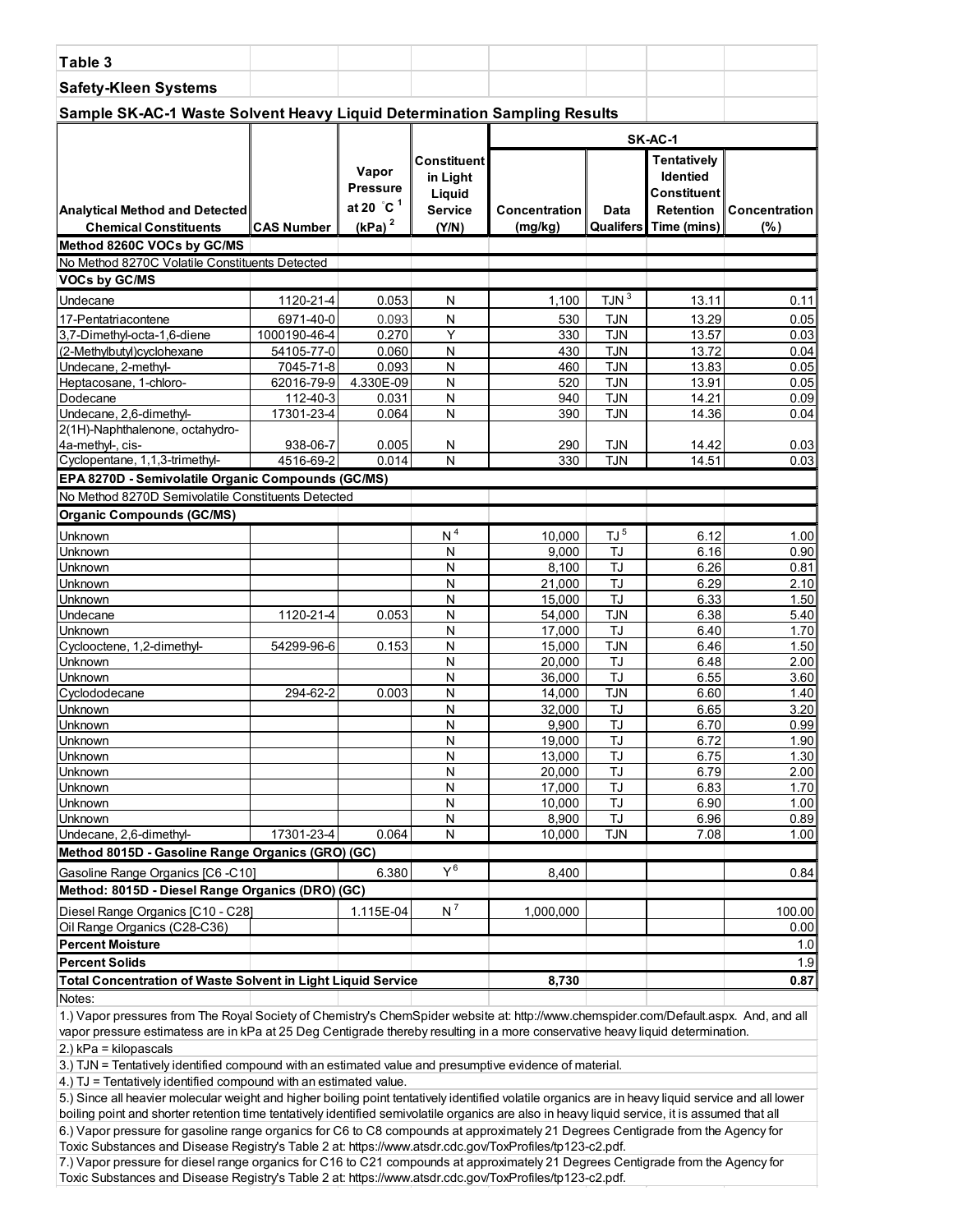| <b>Safety-Kleen Systems</b><br>Sample SK-AC-1 Waste Solvent Heavy Liquid Determination Sampling Results<br>SK-AC-1<br><b>Tentatively</b><br><b>Constituent</b><br>Vapor<br><b>Identied</b><br>in Light<br><b>Pressure</b><br><b>Constituent</b><br>Liquid<br>at 20 °C <sup>1</sup><br><b>Service</b><br><b>Retention</b><br><b>Concentration</b><br>Data<br>Concentration<br><b>Analytical Method and Detected</b><br>(kPa) <sup>2</sup><br><b>CAS Number</b><br>(% )<br><b>Chemical Constituents</b><br>(Y/N)<br>(mg/kg)<br>Qualifers<br>Time (mins)<br>Method 8260C VOCs by GC/MS<br>No Method 8270C Volatile Constituents Detected<br>VOCs by GC/MS<br>IJN <sup>3</sup><br>1120-21-4<br>0.053<br>1,100<br>13.11<br>0.11<br>Undecane<br>N<br>6971-40-0<br>${\sf N}$<br>13.29<br>17-Pentatriacontene<br>0.093<br>530<br><b>TJN</b><br>0.05<br>Y<br>0.270<br><b>TJN</b><br>3,7-Dimethyl-octa-1,6-diene<br>1000190-46-4<br>330<br>13.57<br>0.03<br>0.060<br>(2-Methylbutyl)cyclohexane<br>54105-77-0<br>N<br><b>TJN</b><br>13.72<br>0.04<br>430<br>N<br><b>TJN</b><br>13.83<br>Undecane, 2-methyl-<br>7045-71-8<br>0.093<br>460<br>0.05<br>4.330E-09<br>N<br><b>TJN</b><br>Heptacosane, 1-chloro-<br>62016-79-9<br>520<br>13.91<br>0.05<br>N<br>Dodecane<br>112-40-3<br>0.031<br>940<br><b>TJN</b><br>14.21<br>0.09<br>Undecane, 2,6-dimethyl-<br>N<br>14.36<br>17301-23-4<br>0.064<br><b>TJN</b><br>0.04<br>390<br>2(1H)-Naphthalenone, octahydro-<br>4a-methyl-, cis-<br>938-06-7<br>0.005<br>N<br>290<br><b>TJN</b><br>14.42<br>0.03<br>Cyclopentane, 1,1,3-trimethyl-<br>N<br>14.51<br>4516-69-2<br>0.014<br><b>TJN</b><br>0.03<br>330<br>EPA 8270D - Semivolatile Organic Compounds (GC/MS)<br>No Method 8270D Semivolatile Constituents Detected<br><b>Organic Compounds (GC/MS)</b><br>N <sup>4</sup><br>$\rm{TJ}$ $^5$<br>10,000<br>6.12<br>Unknown<br>1.00<br>TJ<br>N<br>9,000<br>6.16<br>0.90<br>Unknown<br>Unknown<br>TJ<br>N<br>8,100<br>6.26<br>0.81<br>TJ<br>${\sf N}$<br>6.29<br>Unknown<br>21,000<br>2.10<br>TJ<br>N<br>6.33<br>Unknown<br>15,000<br>1.50<br>Undecane<br><b>TJN</b><br>1120-21-4<br>0.053<br>N<br>54,000<br>6.38<br>5.40<br>N<br>TJ<br>1.70<br>Unknown<br>17,000<br>6.40<br>N<br><b>TJN</b><br>1.50<br>Cyclooctene, 1,2-dimethyl-<br>54299-96-6<br>0.153<br>15,000<br>6.46<br>TJ<br>Unknown<br>Ν<br>20,000<br>6.48<br>2.00<br>TJ<br>Unknown<br>Ν<br>36,000<br>6.55<br>3.60<br>N<br><b>TJN</b><br>6.60<br>Cyclododecane<br>294-62-2<br>0.003<br>14,000<br>1.40<br>TJ<br>3.20<br>Unknown<br>N<br>32.000<br>6.65<br>N<br>TJ<br>9,900<br>6.70<br>0.99<br>Unknown<br>$\overline{J}$<br>6.72<br>1.90<br>$\overline{\mathsf{N}}$<br>19,000<br>N<br>TJ<br>6.75<br>1.30<br>Unknown<br>13,000<br>Unknown<br>20,000<br>6.79<br>2.00<br>Ν<br>TJ<br>TJ<br>N<br>17,000<br>6.83<br>1.70<br>Unknown<br>TJ<br>Unknown<br>N<br>10,000<br>6.90<br>1.00<br>TJ<br>Unknown<br>N<br>8,900<br>6.96<br>0.89<br>Undecane, 2,6-dimethyl-<br>17301-23-4<br>N<br><b>TJN</b><br>7.08<br>0.064<br>10,000<br>1.00<br>Method 8015D - Gasoline Range Organics (GRO) (GC)<br>$Y^6$<br>6.380<br>Gasoline Range Organics [C6 -C10]<br>8,400<br>0.84<br>Method: 8015D - Diesel Range Organics (DRO) (GC)<br>$N^7$<br>Diesel Range Organics [C10 - C28]<br>1.115E-04<br>1,000,000<br>100.00<br>Oil Range Organics (C28-C36)<br>0.00<br><b>Percent Moisture</b><br>1.0<br><b>Percent Solids</b><br>1.9<br><b>Total Concentration of Waste Solvent in Light Liquid Service</b><br>8,730<br>0.87<br>Notes: | Table 3 |  |  |  |  |  |  |  |  |
|-------------------------------------------------------------------------------------------------------------------------------------------------------------------------------------------------------------------------------------------------------------------------------------------------------------------------------------------------------------------------------------------------------------------------------------------------------------------------------------------------------------------------------------------------------------------------------------------------------------------------------------------------------------------------------------------------------------------------------------------------------------------------------------------------------------------------------------------------------------------------------------------------------------------------------------------------------------------------------------------------------------------------------------------------------------------------------------------------------------------------------------------------------------------------------------------------------------------------------------------------------------------------------------------------------------------------------------------------------------------------------------------------------------------------------------------------------------------------------------------------------------------------------------------------------------------------------------------------------------------------------------------------------------------------------------------------------------------------------------------------------------------------------------------------------------------------------------------------------------------------------------------------------------------------------------------------------------------------------------------------------------------------------------------------------------------------------------------------------------------------------------------------------------------------------------------------------------------------------------------------------------------------------------------------------------------------------------------------------------------------------------------------------------------------------------------------------------------------------------------------------------------------------------------------------------------------------------------------------------------------------------------------------------------------------------------------------------------------------------------------------------------------------------------------------------------------------------------------------------------------------------------------------------------------------------------------------------------------------------------------------------------------------------------------------------------------------------------------------------------------------------------------------------------------------------------------------------------------------------------------------------------------------------------------------------------------------------------------------------------------------------------------------------------------------------------------------------------------------------------------|---------|--|--|--|--|--|--|--|--|
|                                                                                                                                                                                                                                                                                                                                                                                                                                                                                                                                                                                                                                                                                                                                                                                                                                                                                                                                                                                                                                                                                                                                                                                                                                                                                                                                                                                                                                                                                                                                                                                                                                                                                                                                                                                                                                                                                                                                                                                                                                                                                                                                                                                                                                                                                                                                                                                                                                                                                                                                                                                                                                                                                                                                                                                                                                                                                                                                                                                                                                                                                                                                                                                                                                                                                                                                                                                                                                                                                                 |         |  |  |  |  |  |  |  |  |
|                                                                                                                                                                                                                                                                                                                                                                                                                                                                                                                                                                                                                                                                                                                                                                                                                                                                                                                                                                                                                                                                                                                                                                                                                                                                                                                                                                                                                                                                                                                                                                                                                                                                                                                                                                                                                                                                                                                                                                                                                                                                                                                                                                                                                                                                                                                                                                                                                                                                                                                                                                                                                                                                                                                                                                                                                                                                                                                                                                                                                                                                                                                                                                                                                                                                                                                                                                                                                                                                                                 |         |  |  |  |  |  |  |  |  |
|                                                                                                                                                                                                                                                                                                                                                                                                                                                                                                                                                                                                                                                                                                                                                                                                                                                                                                                                                                                                                                                                                                                                                                                                                                                                                                                                                                                                                                                                                                                                                                                                                                                                                                                                                                                                                                                                                                                                                                                                                                                                                                                                                                                                                                                                                                                                                                                                                                                                                                                                                                                                                                                                                                                                                                                                                                                                                                                                                                                                                                                                                                                                                                                                                                                                                                                                                                                                                                                                                                 |         |  |  |  |  |  |  |  |  |
|                                                                                                                                                                                                                                                                                                                                                                                                                                                                                                                                                                                                                                                                                                                                                                                                                                                                                                                                                                                                                                                                                                                                                                                                                                                                                                                                                                                                                                                                                                                                                                                                                                                                                                                                                                                                                                                                                                                                                                                                                                                                                                                                                                                                                                                                                                                                                                                                                                                                                                                                                                                                                                                                                                                                                                                                                                                                                                                                                                                                                                                                                                                                                                                                                                                                                                                                                                                                                                                                                                 |         |  |  |  |  |  |  |  |  |
|                                                                                                                                                                                                                                                                                                                                                                                                                                                                                                                                                                                                                                                                                                                                                                                                                                                                                                                                                                                                                                                                                                                                                                                                                                                                                                                                                                                                                                                                                                                                                                                                                                                                                                                                                                                                                                                                                                                                                                                                                                                                                                                                                                                                                                                                                                                                                                                                                                                                                                                                                                                                                                                                                                                                                                                                                                                                                                                                                                                                                                                                                                                                                                                                                                                                                                                                                                                                                                                                                                 |         |  |  |  |  |  |  |  |  |
|                                                                                                                                                                                                                                                                                                                                                                                                                                                                                                                                                                                                                                                                                                                                                                                                                                                                                                                                                                                                                                                                                                                                                                                                                                                                                                                                                                                                                                                                                                                                                                                                                                                                                                                                                                                                                                                                                                                                                                                                                                                                                                                                                                                                                                                                                                                                                                                                                                                                                                                                                                                                                                                                                                                                                                                                                                                                                                                                                                                                                                                                                                                                                                                                                                                                                                                                                                                                                                                                                                 |         |  |  |  |  |  |  |  |  |
|                                                                                                                                                                                                                                                                                                                                                                                                                                                                                                                                                                                                                                                                                                                                                                                                                                                                                                                                                                                                                                                                                                                                                                                                                                                                                                                                                                                                                                                                                                                                                                                                                                                                                                                                                                                                                                                                                                                                                                                                                                                                                                                                                                                                                                                                                                                                                                                                                                                                                                                                                                                                                                                                                                                                                                                                                                                                                                                                                                                                                                                                                                                                                                                                                                                                                                                                                                                                                                                                                                 |         |  |  |  |  |  |  |  |  |
|                                                                                                                                                                                                                                                                                                                                                                                                                                                                                                                                                                                                                                                                                                                                                                                                                                                                                                                                                                                                                                                                                                                                                                                                                                                                                                                                                                                                                                                                                                                                                                                                                                                                                                                                                                                                                                                                                                                                                                                                                                                                                                                                                                                                                                                                                                                                                                                                                                                                                                                                                                                                                                                                                                                                                                                                                                                                                                                                                                                                                                                                                                                                                                                                                                                                                                                                                                                                                                                                                                 |         |  |  |  |  |  |  |  |  |
|                                                                                                                                                                                                                                                                                                                                                                                                                                                                                                                                                                                                                                                                                                                                                                                                                                                                                                                                                                                                                                                                                                                                                                                                                                                                                                                                                                                                                                                                                                                                                                                                                                                                                                                                                                                                                                                                                                                                                                                                                                                                                                                                                                                                                                                                                                                                                                                                                                                                                                                                                                                                                                                                                                                                                                                                                                                                                                                                                                                                                                                                                                                                                                                                                                                                                                                                                                                                                                                                                                 |         |  |  |  |  |  |  |  |  |
|                                                                                                                                                                                                                                                                                                                                                                                                                                                                                                                                                                                                                                                                                                                                                                                                                                                                                                                                                                                                                                                                                                                                                                                                                                                                                                                                                                                                                                                                                                                                                                                                                                                                                                                                                                                                                                                                                                                                                                                                                                                                                                                                                                                                                                                                                                                                                                                                                                                                                                                                                                                                                                                                                                                                                                                                                                                                                                                                                                                                                                                                                                                                                                                                                                                                                                                                                                                                                                                                                                 |         |  |  |  |  |  |  |  |  |
|                                                                                                                                                                                                                                                                                                                                                                                                                                                                                                                                                                                                                                                                                                                                                                                                                                                                                                                                                                                                                                                                                                                                                                                                                                                                                                                                                                                                                                                                                                                                                                                                                                                                                                                                                                                                                                                                                                                                                                                                                                                                                                                                                                                                                                                                                                                                                                                                                                                                                                                                                                                                                                                                                                                                                                                                                                                                                                                                                                                                                                                                                                                                                                                                                                                                                                                                                                                                                                                                                                 |         |  |  |  |  |  |  |  |  |
|                                                                                                                                                                                                                                                                                                                                                                                                                                                                                                                                                                                                                                                                                                                                                                                                                                                                                                                                                                                                                                                                                                                                                                                                                                                                                                                                                                                                                                                                                                                                                                                                                                                                                                                                                                                                                                                                                                                                                                                                                                                                                                                                                                                                                                                                                                                                                                                                                                                                                                                                                                                                                                                                                                                                                                                                                                                                                                                                                                                                                                                                                                                                                                                                                                                                                                                                                                                                                                                                                                 |         |  |  |  |  |  |  |  |  |
|                                                                                                                                                                                                                                                                                                                                                                                                                                                                                                                                                                                                                                                                                                                                                                                                                                                                                                                                                                                                                                                                                                                                                                                                                                                                                                                                                                                                                                                                                                                                                                                                                                                                                                                                                                                                                                                                                                                                                                                                                                                                                                                                                                                                                                                                                                                                                                                                                                                                                                                                                                                                                                                                                                                                                                                                                                                                                                                                                                                                                                                                                                                                                                                                                                                                                                                                                                                                                                                                                                 |         |  |  |  |  |  |  |  |  |
|                                                                                                                                                                                                                                                                                                                                                                                                                                                                                                                                                                                                                                                                                                                                                                                                                                                                                                                                                                                                                                                                                                                                                                                                                                                                                                                                                                                                                                                                                                                                                                                                                                                                                                                                                                                                                                                                                                                                                                                                                                                                                                                                                                                                                                                                                                                                                                                                                                                                                                                                                                                                                                                                                                                                                                                                                                                                                                                                                                                                                                                                                                                                                                                                                                                                                                                                                                                                                                                                                                 |         |  |  |  |  |  |  |  |  |
|                                                                                                                                                                                                                                                                                                                                                                                                                                                                                                                                                                                                                                                                                                                                                                                                                                                                                                                                                                                                                                                                                                                                                                                                                                                                                                                                                                                                                                                                                                                                                                                                                                                                                                                                                                                                                                                                                                                                                                                                                                                                                                                                                                                                                                                                                                                                                                                                                                                                                                                                                                                                                                                                                                                                                                                                                                                                                                                                                                                                                                                                                                                                                                                                                                                                                                                                                                                                                                                                                                 |         |  |  |  |  |  |  |  |  |
|                                                                                                                                                                                                                                                                                                                                                                                                                                                                                                                                                                                                                                                                                                                                                                                                                                                                                                                                                                                                                                                                                                                                                                                                                                                                                                                                                                                                                                                                                                                                                                                                                                                                                                                                                                                                                                                                                                                                                                                                                                                                                                                                                                                                                                                                                                                                                                                                                                                                                                                                                                                                                                                                                                                                                                                                                                                                                                                                                                                                                                                                                                                                                                                                                                                                                                                                                                                                                                                                                                 |         |  |  |  |  |  |  |  |  |
|                                                                                                                                                                                                                                                                                                                                                                                                                                                                                                                                                                                                                                                                                                                                                                                                                                                                                                                                                                                                                                                                                                                                                                                                                                                                                                                                                                                                                                                                                                                                                                                                                                                                                                                                                                                                                                                                                                                                                                                                                                                                                                                                                                                                                                                                                                                                                                                                                                                                                                                                                                                                                                                                                                                                                                                                                                                                                                                                                                                                                                                                                                                                                                                                                                                                                                                                                                                                                                                                                                 |         |  |  |  |  |  |  |  |  |
|                                                                                                                                                                                                                                                                                                                                                                                                                                                                                                                                                                                                                                                                                                                                                                                                                                                                                                                                                                                                                                                                                                                                                                                                                                                                                                                                                                                                                                                                                                                                                                                                                                                                                                                                                                                                                                                                                                                                                                                                                                                                                                                                                                                                                                                                                                                                                                                                                                                                                                                                                                                                                                                                                                                                                                                                                                                                                                                                                                                                                                                                                                                                                                                                                                                                                                                                                                                                                                                                                                 |         |  |  |  |  |  |  |  |  |
|                                                                                                                                                                                                                                                                                                                                                                                                                                                                                                                                                                                                                                                                                                                                                                                                                                                                                                                                                                                                                                                                                                                                                                                                                                                                                                                                                                                                                                                                                                                                                                                                                                                                                                                                                                                                                                                                                                                                                                                                                                                                                                                                                                                                                                                                                                                                                                                                                                                                                                                                                                                                                                                                                                                                                                                                                                                                                                                                                                                                                                                                                                                                                                                                                                                                                                                                                                                                                                                                                                 |         |  |  |  |  |  |  |  |  |
|                                                                                                                                                                                                                                                                                                                                                                                                                                                                                                                                                                                                                                                                                                                                                                                                                                                                                                                                                                                                                                                                                                                                                                                                                                                                                                                                                                                                                                                                                                                                                                                                                                                                                                                                                                                                                                                                                                                                                                                                                                                                                                                                                                                                                                                                                                                                                                                                                                                                                                                                                                                                                                                                                                                                                                                                                                                                                                                                                                                                                                                                                                                                                                                                                                                                                                                                                                                                                                                                                                 |         |  |  |  |  |  |  |  |  |
|                                                                                                                                                                                                                                                                                                                                                                                                                                                                                                                                                                                                                                                                                                                                                                                                                                                                                                                                                                                                                                                                                                                                                                                                                                                                                                                                                                                                                                                                                                                                                                                                                                                                                                                                                                                                                                                                                                                                                                                                                                                                                                                                                                                                                                                                                                                                                                                                                                                                                                                                                                                                                                                                                                                                                                                                                                                                                                                                                                                                                                                                                                                                                                                                                                                                                                                                                                                                                                                                                                 |         |  |  |  |  |  |  |  |  |
|                                                                                                                                                                                                                                                                                                                                                                                                                                                                                                                                                                                                                                                                                                                                                                                                                                                                                                                                                                                                                                                                                                                                                                                                                                                                                                                                                                                                                                                                                                                                                                                                                                                                                                                                                                                                                                                                                                                                                                                                                                                                                                                                                                                                                                                                                                                                                                                                                                                                                                                                                                                                                                                                                                                                                                                                                                                                                                                                                                                                                                                                                                                                                                                                                                                                                                                                                                                                                                                                                                 |         |  |  |  |  |  |  |  |  |
|                                                                                                                                                                                                                                                                                                                                                                                                                                                                                                                                                                                                                                                                                                                                                                                                                                                                                                                                                                                                                                                                                                                                                                                                                                                                                                                                                                                                                                                                                                                                                                                                                                                                                                                                                                                                                                                                                                                                                                                                                                                                                                                                                                                                                                                                                                                                                                                                                                                                                                                                                                                                                                                                                                                                                                                                                                                                                                                                                                                                                                                                                                                                                                                                                                                                                                                                                                                                                                                                                                 |         |  |  |  |  |  |  |  |  |
|                                                                                                                                                                                                                                                                                                                                                                                                                                                                                                                                                                                                                                                                                                                                                                                                                                                                                                                                                                                                                                                                                                                                                                                                                                                                                                                                                                                                                                                                                                                                                                                                                                                                                                                                                                                                                                                                                                                                                                                                                                                                                                                                                                                                                                                                                                                                                                                                                                                                                                                                                                                                                                                                                                                                                                                                                                                                                                                                                                                                                                                                                                                                                                                                                                                                                                                                                                                                                                                                                                 |         |  |  |  |  |  |  |  |  |
|                                                                                                                                                                                                                                                                                                                                                                                                                                                                                                                                                                                                                                                                                                                                                                                                                                                                                                                                                                                                                                                                                                                                                                                                                                                                                                                                                                                                                                                                                                                                                                                                                                                                                                                                                                                                                                                                                                                                                                                                                                                                                                                                                                                                                                                                                                                                                                                                                                                                                                                                                                                                                                                                                                                                                                                                                                                                                                                                                                                                                                                                                                                                                                                                                                                                                                                                                                                                                                                                                                 |         |  |  |  |  |  |  |  |  |
|                                                                                                                                                                                                                                                                                                                                                                                                                                                                                                                                                                                                                                                                                                                                                                                                                                                                                                                                                                                                                                                                                                                                                                                                                                                                                                                                                                                                                                                                                                                                                                                                                                                                                                                                                                                                                                                                                                                                                                                                                                                                                                                                                                                                                                                                                                                                                                                                                                                                                                                                                                                                                                                                                                                                                                                                                                                                                                                                                                                                                                                                                                                                                                                                                                                                                                                                                                                                                                                                                                 |         |  |  |  |  |  |  |  |  |
|                                                                                                                                                                                                                                                                                                                                                                                                                                                                                                                                                                                                                                                                                                                                                                                                                                                                                                                                                                                                                                                                                                                                                                                                                                                                                                                                                                                                                                                                                                                                                                                                                                                                                                                                                                                                                                                                                                                                                                                                                                                                                                                                                                                                                                                                                                                                                                                                                                                                                                                                                                                                                                                                                                                                                                                                                                                                                                                                                                                                                                                                                                                                                                                                                                                                                                                                                                                                                                                                                                 |         |  |  |  |  |  |  |  |  |
|                                                                                                                                                                                                                                                                                                                                                                                                                                                                                                                                                                                                                                                                                                                                                                                                                                                                                                                                                                                                                                                                                                                                                                                                                                                                                                                                                                                                                                                                                                                                                                                                                                                                                                                                                                                                                                                                                                                                                                                                                                                                                                                                                                                                                                                                                                                                                                                                                                                                                                                                                                                                                                                                                                                                                                                                                                                                                                                                                                                                                                                                                                                                                                                                                                                                                                                                                                                                                                                                                                 |         |  |  |  |  |  |  |  |  |
|                                                                                                                                                                                                                                                                                                                                                                                                                                                                                                                                                                                                                                                                                                                                                                                                                                                                                                                                                                                                                                                                                                                                                                                                                                                                                                                                                                                                                                                                                                                                                                                                                                                                                                                                                                                                                                                                                                                                                                                                                                                                                                                                                                                                                                                                                                                                                                                                                                                                                                                                                                                                                                                                                                                                                                                                                                                                                                                                                                                                                                                                                                                                                                                                                                                                                                                                                                                                                                                                                                 |         |  |  |  |  |  |  |  |  |
|                                                                                                                                                                                                                                                                                                                                                                                                                                                                                                                                                                                                                                                                                                                                                                                                                                                                                                                                                                                                                                                                                                                                                                                                                                                                                                                                                                                                                                                                                                                                                                                                                                                                                                                                                                                                                                                                                                                                                                                                                                                                                                                                                                                                                                                                                                                                                                                                                                                                                                                                                                                                                                                                                                                                                                                                                                                                                                                                                                                                                                                                                                                                                                                                                                                                                                                                                                                                                                                                                                 |         |  |  |  |  |  |  |  |  |
|                                                                                                                                                                                                                                                                                                                                                                                                                                                                                                                                                                                                                                                                                                                                                                                                                                                                                                                                                                                                                                                                                                                                                                                                                                                                                                                                                                                                                                                                                                                                                                                                                                                                                                                                                                                                                                                                                                                                                                                                                                                                                                                                                                                                                                                                                                                                                                                                                                                                                                                                                                                                                                                                                                                                                                                                                                                                                                                                                                                                                                                                                                                                                                                                                                                                                                                                                                                                                                                                                                 |         |  |  |  |  |  |  |  |  |
|                                                                                                                                                                                                                                                                                                                                                                                                                                                                                                                                                                                                                                                                                                                                                                                                                                                                                                                                                                                                                                                                                                                                                                                                                                                                                                                                                                                                                                                                                                                                                                                                                                                                                                                                                                                                                                                                                                                                                                                                                                                                                                                                                                                                                                                                                                                                                                                                                                                                                                                                                                                                                                                                                                                                                                                                                                                                                                                                                                                                                                                                                                                                                                                                                                                                                                                                                                                                                                                                                                 |         |  |  |  |  |  |  |  |  |
|                                                                                                                                                                                                                                                                                                                                                                                                                                                                                                                                                                                                                                                                                                                                                                                                                                                                                                                                                                                                                                                                                                                                                                                                                                                                                                                                                                                                                                                                                                                                                                                                                                                                                                                                                                                                                                                                                                                                                                                                                                                                                                                                                                                                                                                                                                                                                                                                                                                                                                                                                                                                                                                                                                                                                                                                                                                                                                                                                                                                                                                                                                                                                                                                                                                                                                                                                                                                                                                                                                 | Unknown |  |  |  |  |  |  |  |  |
|                                                                                                                                                                                                                                                                                                                                                                                                                                                                                                                                                                                                                                                                                                                                                                                                                                                                                                                                                                                                                                                                                                                                                                                                                                                                                                                                                                                                                                                                                                                                                                                                                                                                                                                                                                                                                                                                                                                                                                                                                                                                                                                                                                                                                                                                                                                                                                                                                                                                                                                                                                                                                                                                                                                                                                                                                                                                                                                                                                                                                                                                                                                                                                                                                                                                                                                                                                                                                                                                                                 |         |  |  |  |  |  |  |  |  |
|                                                                                                                                                                                                                                                                                                                                                                                                                                                                                                                                                                                                                                                                                                                                                                                                                                                                                                                                                                                                                                                                                                                                                                                                                                                                                                                                                                                                                                                                                                                                                                                                                                                                                                                                                                                                                                                                                                                                                                                                                                                                                                                                                                                                                                                                                                                                                                                                                                                                                                                                                                                                                                                                                                                                                                                                                                                                                                                                                                                                                                                                                                                                                                                                                                                                                                                                                                                                                                                                                                 |         |  |  |  |  |  |  |  |  |
|                                                                                                                                                                                                                                                                                                                                                                                                                                                                                                                                                                                                                                                                                                                                                                                                                                                                                                                                                                                                                                                                                                                                                                                                                                                                                                                                                                                                                                                                                                                                                                                                                                                                                                                                                                                                                                                                                                                                                                                                                                                                                                                                                                                                                                                                                                                                                                                                                                                                                                                                                                                                                                                                                                                                                                                                                                                                                                                                                                                                                                                                                                                                                                                                                                                                                                                                                                                                                                                                                                 |         |  |  |  |  |  |  |  |  |
|                                                                                                                                                                                                                                                                                                                                                                                                                                                                                                                                                                                                                                                                                                                                                                                                                                                                                                                                                                                                                                                                                                                                                                                                                                                                                                                                                                                                                                                                                                                                                                                                                                                                                                                                                                                                                                                                                                                                                                                                                                                                                                                                                                                                                                                                                                                                                                                                                                                                                                                                                                                                                                                                                                                                                                                                                                                                                                                                                                                                                                                                                                                                                                                                                                                                                                                                                                                                                                                                                                 |         |  |  |  |  |  |  |  |  |
|                                                                                                                                                                                                                                                                                                                                                                                                                                                                                                                                                                                                                                                                                                                                                                                                                                                                                                                                                                                                                                                                                                                                                                                                                                                                                                                                                                                                                                                                                                                                                                                                                                                                                                                                                                                                                                                                                                                                                                                                                                                                                                                                                                                                                                                                                                                                                                                                                                                                                                                                                                                                                                                                                                                                                                                                                                                                                                                                                                                                                                                                                                                                                                                                                                                                                                                                                                                                                                                                                                 |         |  |  |  |  |  |  |  |  |
|                                                                                                                                                                                                                                                                                                                                                                                                                                                                                                                                                                                                                                                                                                                                                                                                                                                                                                                                                                                                                                                                                                                                                                                                                                                                                                                                                                                                                                                                                                                                                                                                                                                                                                                                                                                                                                                                                                                                                                                                                                                                                                                                                                                                                                                                                                                                                                                                                                                                                                                                                                                                                                                                                                                                                                                                                                                                                                                                                                                                                                                                                                                                                                                                                                                                                                                                                                                                                                                                                                 |         |  |  |  |  |  |  |  |  |
|                                                                                                                                                                                                                                                                                                                                                                                                                                                                                                                                                                                                                                                                                                                                                                                                                                                                                                                                                                                                                                                                                                                                                                                                                                                                                                                                                                                                                                                                                                                                                                                                                                                                                                                                                                                                                                                                                                                                                                                                                                                                                                                                                                                                                                                                                                                                                                                                                                                                                                                                                                                                                                                                                                                                                                                                                                                                                                                                                                                                                                                                                                                                                                                                                                                                                                                                                                                                                                                                                                 |         |  |  |  |  |  |  |  |  |
|                                                                                                                                                                                                                                                                                                                                                                                                                                                                                                                                                                                                                                                                                                                                                                                                                                                                                                                                                                                                                                                                                                                                                                                                                                                                                                                                                                                                                                                                                                                                                                                                                                                                                                                                                                                                                                                                                                                                                                                                                                                                                                                                                                                                                                                                                                                                                                                                                                                                                                                                                                                                                                                                                                                                                                                                                                                                                                                                                                                                                                                                                                                                                                                                                                                                                                                                                                                                                                                                                                 |         |  |  |  |  |  |  |  |  |
|                                                                                                                                                                                                                                                                                                                                                                                                                                                                                                                                                                                                                                                                                                                                                                                                                                                                                                                                                                                                                                                                                                                                                                                                                                                                                                                                                                                                                                                                                                                                                                                                                                                                                                                                                                                                                                                                                                                                                                                                                                                                                                                                                                                                                                                                                                                                                                                                                                                                                                                                                                                                                                                                                                                                                                                                                                                                                                                                                                                                                                                                                                                                                                                                                                                                                                                                                                                                                                                                                                 |         |  |  |  |  |  |  |  |  |
|                                                                                                                                                                                                                                                                                                                                                                                                                                                                                                                                                                                                                                                                                                                                                                                                                                                                                                                                                                                                                                                                                                                                                                                                                                                                                                                                                                                                                                                                                                                                                                                                                                                                                                                                                                                                                                                                                                                                                                                                                                                                                                                                                                                                                                                                                                                                                                                                                                                                                                                                                                                                                                                                                                                                                                                                                                                                                                                                                                                                                                                                                                                                                                                                                                                                                                                                                                                                                                                                                                 |         |  |  |  |  |  |  |  |  |
|                                                                                                                                                                                                                                                                                                                                                                                                                                                                                                                                                                                                                                                                                                                                                                                                                                                                                                                                                                                                                                                                                                                                                                                                                                                                                                                                                                                                                                                                                                                                                                                                                                                                                                                                                                                                                                                                                                                                                                                                                                                                                                                                                                                                                                                                                                                                                                                                                                                                                                                                                                                                                                                                                                                                                                                                                                                                                                                                                                                                                                                                                                                                                                                                                                                                                                                                                                                                                                                                                                 |         |  |  |  |  |  |  |  |  |
|                                                                                                                                                                                                                                                                                                                                                                                                                                                                                                                                                                                                                                                                                                                                                                                                                                                                                                                                                                                                                                                                                                                                                                                                                                                                                                                                                                                                                                                                                                                                                                                                                                                                                                                                                                                                                                                                                                                                                                                                                                                                                                                                                                                                                                                                                                                                                                                                                                                                                                                                                                                                                                                                                                                                                                                                                                                                                                                                                                                                                                                                                                                                                                                                                                                                                                                                                                                                                                                                                                 |         |  |  |  |  |  |  |  |  |
|                                                                                                                                                                                                                                                                                                                                                                                                                                                                                                                                                                                                                                                                                                                                                                                                                                                                                                                                                                                                                                                                                                                                                                                                                                                                                                                                                                                                                                                                                                                                                                                                                                                                                                                                                                                                                                                                                                                                                                                                                                                                                                                                                                                                                                                                                                                                                                                                                                                                                                                                                                                                                                                                                                                                                                                                                                                                                                                                                                                                                                                                                                                                                                                                                                                                                                                                                                                                                                                                                                 |         |  |  |  |  |  |  |  |  |
|                                                                                                                                                                                                                                                                                                                                                                                                                                                                                                                                                                                                                                                                                                                                                                                                                                                                                                                                                                                                                                                                                                                                                                                                                                                                                                                                                                                                                                                                                                                                                                                                                                                                                                                                                                                                                                                                                                                                                                                                                                                                                                                                                                                                                                                                                                                                                                                                                                                                                                                                                                                                                                                                                                                                                                                                                                                                                                                                                                                                                                                                                                                                                                                                                                                                                                                                                                                                                                                                                                 |         |  |  |  |  |  |  |  |  |

3.) TJN = Tentatively identified compound with an estimated value and presumptive evidence of material.

4.) TJ = Tentatively identified compound with an estimated value.

5.) Since all heavier molecular weight and higher boiling point tentatively identified volatile organics are in heavy liquid service and all lower boiling point and shorter retention time tentatively identified semivolatile organics are also in heavy liquid service, it is assumed that all 6.) Vapor pressure for gasoline range organics for C6 to C8 compounds at approximately 21 Degrees Centigrade from the Agency for Toxic Substances and Disease Registry's Table 2 at: https://www.atsdr.cdc.gov/ToxProfiles/tp123-c2.pdf.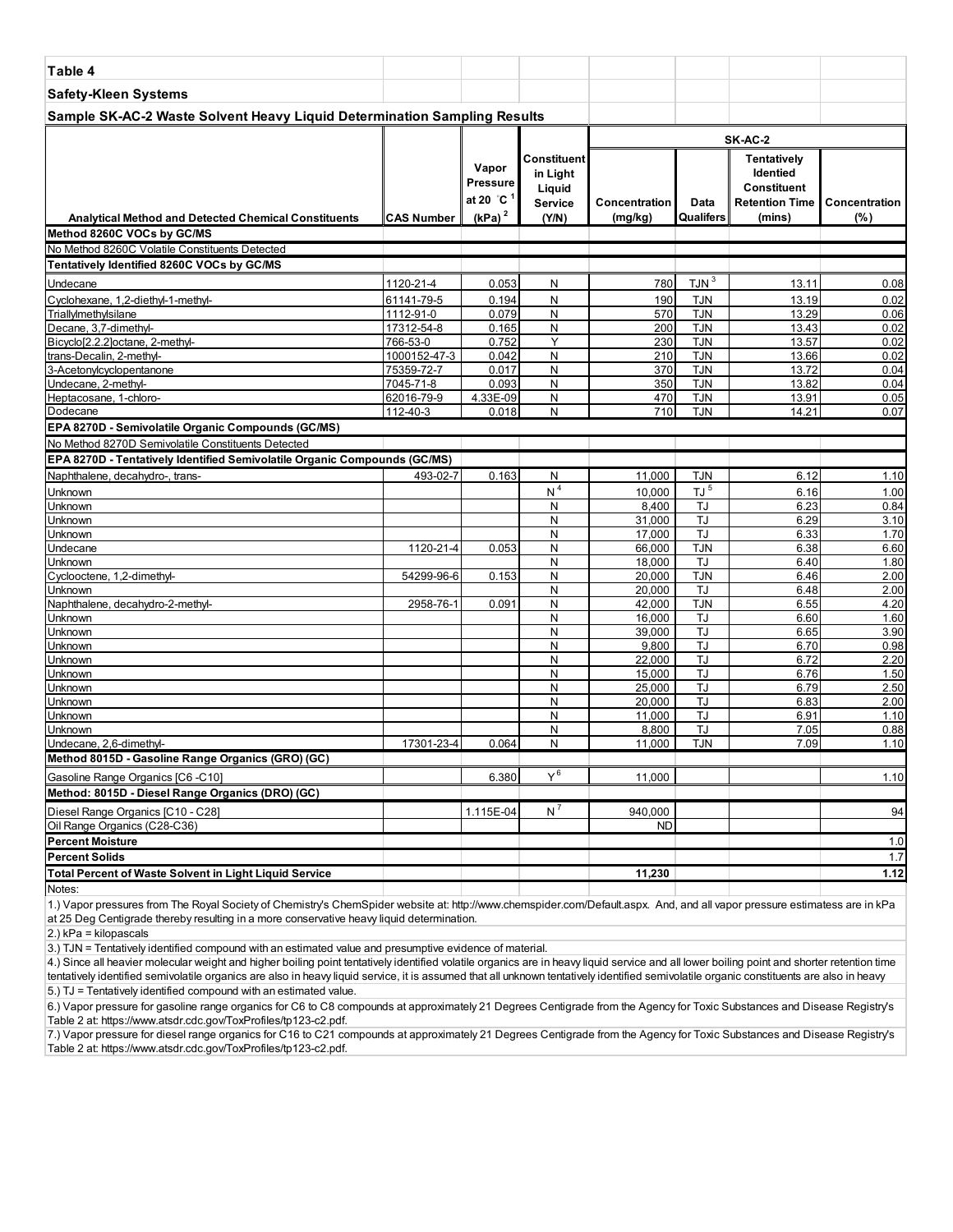| Table 4                                                                               |                         |                                                    |                                                     |                      |                          |                                                                               |                 |
|---------------------------------------------------------------------------------------|-------------------------|----------------------------------------------------|-----------------------------------------------------|----------------------|--------------------------|-------------------------------------------------------------------------------|-----------------|
| <b>Safety-Kleen Systems</b>                                                           |                         |                                                    |                                                     |                      |                          |                                                                               |                 |
| Sample SK-AC-2 Waste Solvent Heavy Liquid Determination Sampling Results              |                         |                                                    |                                                     |                      |                          |                                                                               |                 |
|                                                                                       |                         |                                                    |                                                     |                      |                          | SK-AC-2                                                                       |                 |
|                                                                                       |                         | Vapor<br>Pressure<br>at 20 $^{\circ}$ C $^{\circ}$ | Constituent<br>in Light<br>Liquid<br><b>Service</b> | Concentration        | Data                     | <b>Tentatively</b><br>Identied<br><b>Constituent</b><br><b>Retention Time</b> | l Concentration |
| <b>Analytical Method and Detected Chemical Constituents</b>                           | CAS Number              | $(kPa)^2$                                          | (Y/N)                                               | (mg/kg)              | Qualifers                | (mins)                                                                        | (% )            |
| Method 8260C VOCs by GC/MS<br>No Method 8260C Volatile Constituents Detected          |                         |                                                    |                                                     |                      |                          |                                                                               |                 |
| Tentatively Identified 8260C VOCs by GC/MS                                            |                         |                                                    |                                                     |                      |                          |                                                                               |                 |
|                                                                                       |                         |                                                    |                                                     |                      | TJN <sup>3</sup>         |                                                                               |                 |
| Undecane                                                                              | 1120-21-4               | 0.053                                              | N                                                   | 780                  |                          | 13.11                                                                         | 0.08            |
| Cyclohexane, 1,2-diethyl-1-methyl-<br>Triallylmethylsilane                            | 61141-79-5<br>1112-91-0 | 0.194<br>0.079                                     | N<br>N                                              | 190<br>570           | <b>TJN</b><br><b>TJN</b> | 13.19<br>13.29                                                                | 0.02<br>0.06    |
| Decane, 3,7-dimethyl-                                                                 | 17312-54-8              | 0.165                                              | N                                                   | 200                  | <b>TJN</b>               | 13.43                                                                         | 0.02            |
| Bicyclo[2.2.2]octane, 2-methyl-                                                       | 766-53-0                | 0.752                                              | Y                                                   | 230                  | <b>TJN</b>               | 13.57                                                                         | 0.02            |
| trans-Decalin, 2-methyl-                                                              | 1000152-47-3            | 0.042                                              | N                                                   | 210                  | <b>TJN</b>               | 13.66                                                                         | 0.02            |
| 3-Acetonylcyclopentanone                                                              | 75359-72-7              | 0.017                                              | N                                                   | 370                  | <b>TJN</b>               | 13.72                                                                         | 0.04            |
| Undecane, 2-methyl-                                                                   | 7045-71-8               | 0.093                                              | N                                                   | 350                  | <b>TJN</b>               | 13.82                                                                         | 0.04            |
| Heptacosane, 1-chloro-                                                                | 62016-79-9              | 4.33E-09                                           | N                                                   | 470                  | <b>TJN</b>               | 13.91                                                                         | 0.05            |
| Dodecane                                                                              | 112-40-3                | 0.018                                              | N                                                   | 710                  | <b>TJN</b>               | 14.21                                                                         | 0.07            |
| EPA 8270D - Semivolatile Organic Compounds (GC/MS)                                    |                         |                                                    |                                                     |                      |                          |                                                                               |                 |
| No Method 8270D Semivolatile Constituents Detected                                    |                         |                                                    |                                                     |                      |                          |                                                                               |                 |
| EPA 8270D - Tentatively Identified Semivolatile Organic Compounds (GC/MS)             |                         |                                                    |                                                     |                      |                          |                                                                               |                 |
| Naphthalene, decahydro-, trans-                                                       | 493-02-7                | 0.163                                              | N                                                   | 11,000               | <b>TJN</b>               | 6.12                                                                          | 1.10            |
| Unknown<br>Unknown                                                                    |                         |                                                    | N <sup>4</sup>                                      | 10,000               | $TJ^{\frac{5}{5}}$<br>TJ | 6.16<br>6.23                                                                  | 1.00            |
| Unknown                                                                               |                         |                                                    | N<br>N                                              | 8,400<br>31,000      | TJ                       | 6.29                                                                          | 0.84<br>3.10    |
| Unknown                                                                               |                         |                                                    | N                                                   | 17,000               | TJ                       | 6.33                                                                          | 1.70            |
| Undecane                                                                              | 1120-21-4               | 0.053                                              | N                                                   | 66,000               | <b>TJN</b>               | 6.38                                                                          | 6.60            |
| Unknown                                                                               |                         |                                                    | N                                                   | 18,000               | TJ                       | 6.40                                                                          | 1.80            |
| Cyclooctene, 1,2-dimethyl-                                                            | 54299-96-6              | 0.153                                              | N                                                   | 20,000               | <b>TJN</b>               | 6.46                                                                          | 2.00            |
| Unknown                                                                               |                         |                                                    | N                                                   | 20,000               | TJ                       | 6.48                                                                          | 2.00            |
| Naphthalene, decahydro-2-methyl-                                                      | 2958-76-1               | 0.091                                              | N                                                   | 42,000               | <b>TJN</b>               | 6.55                                                                          | 4.20            |
| Unknown<br>Unknown                                                                    |                         |                                                    | N<br>N                                              | 16,000<br>39,000     | TJ<br>TJ                 | 6.60<br>6.65                                                                  | 1.60<br>3.90    |
| Unknown                                                                               |                         |                                                    | N                                                   | 9,800                | TJ                       | 6.70                                                                          | 0.98            |
| Unknown                                                                               |                         |                                                    | N                                                   | 22,000               | TJ                       | 6.72                                                                          | 2.20            |
| Unknown                                                                               |                         |                                                    | N                                                   | 15,000               | TJ                       | 6.76                                                                          | 1.50            |
| Unknown                                                                               |                         |                                                    | N                                                   | 25,000               | TJ                       | 6.79                                                                          | 2.50            |
| Unknown                                                                               |                         |                                                    | N                                                   | 20,000               | TJ                       | 6.83                                                                          | 2.00            |
| Unknown                                                                               |                         |                                                    | N                                                   | 11,000               | TJ                       | 6.91                                                                          | 1.10            |
| Unknown<br>Undecane, 2,6-dimethyl-                                                    | 17301-23-4              | 0.064                                              | N<br>N                                              | 8,800<br>11,000      | TJ<br><b>TJN</b>         | 7.05<br>7.09                                                                  | 0.88<br>1.10    |
| Method 8015D - Gasoline Range Organics (GRO) (GC)                                     |                         |                                                    |                                                     |                      |                          |                                                                               |                 |
|                                                                                       |                         |                                                    | $Y^6$                                               |                      |                          |                                                                               |                 |
| Gasoline Range Organics [C6 -C10]<br>Method: 8015D - Diesel Range Organics (DRO) (GC) |                         | 6.380                                              |                                                     | 11,000               |                          |                                                                               | 1.10            |
|                                                                                       |                         |                                                    |                                                     |                      |                          |                                                                               |                 |
| Diesel Range Organics [C10 - C28]<br>Oil Range Organics (C28-C36)                     |                         | 1.115E-04                                          | $N^7$                                               | 940,000<br><b>ND</b> |                          |                                                                               | 94              |
| <b>Percent Moisture</b>                                                               |                         |                                                    |                                                     |                      |                          |                                                                               | 1.0             |
| Percent Solids                                                                        |                         |                                                    |                                                     |                      |                          |                                                                               | 1.7             |
| Total Percent of Waste Solvent in Light Liquid Service                                |                         |                                                    |                                                     | 11,230               |                          |                                                                               | 1.12            |
| Notes:                                                                                |                         |                                                    |                                                     |                      |                          |                                                                               |                 |
|                                                                                       |                         |                                                    |                                                     |                      |                          |                                                                               |                 |

2.) kPa = kilopascals

3.) TJN = Tentatively identified compound with an estimated value and presumptive evidence of material.

5.) TJ = Tentatively identified compound with an estimated value. 4.) Since all heavier molecular weight and higher boiling point tentatively identified volatile organics are in heavy liquid service and all lower boiling point and shorter retention time tentatively identified semivolatile organics are also in heavy liquid service, it is assumed that all unknown tentatively identified semivolatile organic constituents are also in heavy

6.) Vapor pressure for gasoline range organics for C6 to C8 compounds at approximately 21 Degrees Centigrade from the Agency for Toxic Substances and Disease Registry's Table 2 at: https://www.atsdr.cdc.gov/ToxProfiles/tp123-c2.pdf.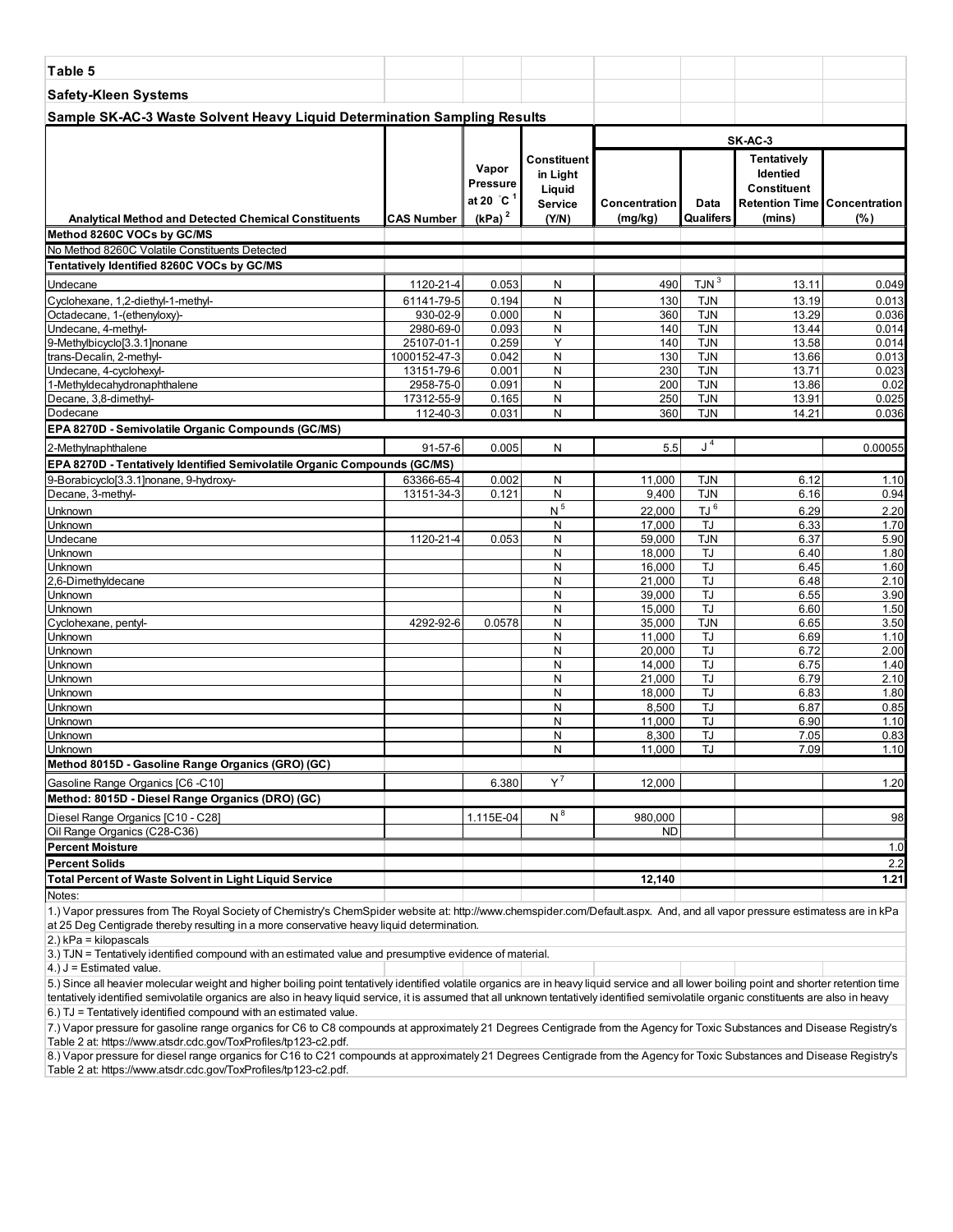| Table 5                                                                   |                         |                                 |                                              |                  |                          |                                                                                      |                |
|---------------------------------------------------------------------------|-------------------------|---------------------------------|----------------------------------------------|------------------|--------------------------|--------------------------------------------------------------------------------------|----------------|
| <b>Safety-Kleen Systems</b>                                               |                         |                                 |                                              |                  |                          |                                                                                      |                |
| Sample SK-AC-3 Waste Solvent Heavy Liquid Determination Sampling Results  |                         |                                 |                                              |                  |                          |                                                                                      |                |
|                                                                           |                         |                                 |                                              |                  |                          | SK-AC-3                                                                              |                |
|                                                                           |                         | Vapor<br>Pressure<br>at 20 °C 1 | Constituent<br>in Light<br>Liquid<br>Service | Concentration    | Data                     | Tentatively<br><b>Identied</b><br><b>Constituent</b><br>Retention Time Concentration |                |
| <b>Analytical Method and Detected Chemical Constituents</b>               | <b>CAS Number</b>       | (kPa) <sup>2</sup>              | (Y/N)                                        | (mg/kg)          | Qualifers                | (mins)                                                                               | (%)            |
| Method 8260C VOCs by GC/MS                                                |                         |                                 |                                              |                  |                          |                                                                                      |                |
| No Method 8260C Volatile Constituents Detected                            |                         |                                 |                                              |                  |                          |                                                                                      |                |
| Tentatively Identified 8260C VOCs by GC/MS                                |                         |                                 |                                              |                  |                          |                                                                                      |                |
| Undecane                                                                  | 1120-21-4               | 0.053                           | N                                            | 490              | TJN <sup>3</sup>         | 13.11                                                                                | 0.049          |
| Cyclohexane, 1,2-diethyl-1-methyl-                                        | 61141-79-5              | 0.194                           | N                                            | 130              | TJN                      | 13.19                                                                                | 0.013          |
| Octadecane, 1-(ethenyloxy)-                                               | 930-02-9                | 0.000                           | N                                            | 360              | <b>TJN</b>               | 13.29                                                                                | 0.036          |
| Undecane, 4-methyl-                                                       | 2980-69-0               | 0.093                           | N                                            | 140              | <b>TJN</b>               | 13.44                                                                                | 0.014          |
| 9-Methylbicyclo[3.3.1]nonane                                              | 25107-01-1              | 0.259                           | Y                                            | 140              | <b>TJN</b>               | 13.58                                                                                | 0.014          |
| trans-Decalin, 2-methyl-<br>Undecane, 4-cyclohexyl-                       | 1000152-47-3            | 0.042                           | N<br>N                                       | 130<br>230       | <b>TJN</b><br><b>TJN</b> | 13.66<br>13.71                                                                       | 0.013<br>0.023 |
| 1-Methyldecahydronaphthalene                                              | 13151-79-6<br>2958-75-0 | 0.001<br>0.091                  | N                                            | 200              | <b>TJN</b>               | 13.86                                                                                | 0.02           |
| Decane, 3,8-dimethyl-                                                     | 17312-55-9              | 0.165                           | N                                            | 250              | <b>TJN</b>               | 13.91                                                                                | 0.025          |
| Dodecane                                                                  | 112-40-3                | 0.031                           | N                                            | 360              | <b>TJN</b>               | 14.21                                                                                | 0.036          |
| EPA 8270D - Semivolatile Organic Compounds (GC/MS)                        |                         |                                 |                                              |                  |                          |                                                                                      |                |
|                                                                           |                         |                                 |                                              |                  | J <sup>4</sup>           |                                                                                      |                |
| 2-Methylnaphthalene                                                       | 91-57-6                 | 0.005                           | N                                            | 5.5              |                          |                                                                                      | 0.00055        |
| EPA 8270D - Tentatively Identified Semivolatile Organic Compounds (GC/MS) |                         |                                 |                                              |                  |                          |                                                                                      |                |
| 9-Borabicyclo[3.3.1]nonane, 9-hydroxy-                                    | 63366-65-4              | 0.002                           | N                                            | 11,000           | <b>TJN</b>               | 6.12                                                                                 | 1.10           |
| Decane, 3-methyl-                                                         | 13151-34-3              | 0.121                           | ${\sf N}$                                    | 9,400            | <b>TJN</b>               | 6.16                                                                                 | 0.94           |
| Unknown                                                                   |                         |                                 | N <sup>5</sup>                               | 22,000           | TJ <sup>6</sup>          | 6.29                                                                                 | 2.20           |
| Unknown                                                                   |                         |                                 | N                                            | 17,000           | TJ                       | 6.33                                                                                 | 1.70           |
| Undecane<br>Unknown                                                       | 1120-21-4               | 0.053                           | N<br>N                                       | 59,000<br>18,000 | <b>TJN</b><br>TJ         | 6.37<br>6.40                                                                         | 5.90<br>1.80   |
| Unknown                                                                   |                         |                                 | N                                            | 16,000           | TJ                       | 6.45                                                                                 | 1.60           |
| 2,6-Dimethyldecane                                                        |                         |                                 | $\mathsf{N}$                                 | 21,000           | <b>TJ</b>                | 6.48                                                                                 | 2.10           |
| Unknown                                                                   |                         |                                 | N                                            | 39,000           | <b>TJ</b>                | 6.55                                                                                 | 3.90           |
| Unknown                                                                   |                         |                                 | $\mathsf{N}$                                 | 15,000           | <b>TJ</b>                | 6.60                                                                                 | 1.50           |
| Cyclohexane, pentyl-                                                      | 4292-92-6               | 0.0578                          | N                                            | 35,000           | <b>TJN</b>               | 6.65                                                                                 | 3.50           |
| Unknown                                                                   |                         |                                 | $\mathsf{N}$                                 | 11,000           | TJ                       | 6.69                                                                                 | 1.10           |
| Unknown                                                                   |                         |                                 | N                                            | 20,000           | <b>TJ</b>                | 6.72                                                                                 | 2.00           |
| Unknown                                                                   |                         |                                 | N                                            | 14,000           | TJ                       | 6.75                                                                                 | 1.40           |
| Unknown                                                                   |                         |                                 | N                                            | 21,000           | <b>TJ</b>                | 6.79                                                                                 | 2.10           |
| Unknown                                                                   |                         |                                 | N                                            | 18,000           | TJ                       | 6.83                                                                                 | 1.80           |
| Unknown                                                                   |                         |                                 | N                                            | 8,500            | TJ                       | 6.87                                                                                 | 0.85           |
| Unknown                                                                   |                         |                                 | N<br>N                                       | 11,000<br>8,300  | TJ<br><b>TJ</b>          | 6.90                                                                                 | 1.10<br>0.83   |
| Unknown<br>Unknown                                                        |                         |                                 | N                                            | 11,000           | TJ                       | 7.05<br>7.09                                                                         | 1.10           |
| Method 8015D - Gasoline Range Organics (GRO) (GC)                         |                         |                                 |                                              |                  |                          |                                                                                      |                |
|                                                                           |                         |                                 | $Y^7$                                        |                  |                          |                                                                                      |                |
| Gasoline Range Organics [C6 -C10]                                         |                         | 6.380                           |                                              | 12,000           |                          |                                                                                      | 1.20           |
| Method: 8015D - Diesel Range Organics (DRO) (GC)                          |                         |                                 |                                              |                  |                          |                                                                                      |                |
| Diesel Range Organics [C10 - C28]                                         |                         | 1.115E-04                       | $N^8$                                        | 980,000          |                          |                                                                                      | 98             |
| Oil Range Organics (C28-C36)                                              |                         |                                 |                                              | <b>ND</b>        |                          |                                                                                      |                |
| <b>Percent Moisture</b>                                                   |                         |                                 |                                              |                  |                          |                                                                                      | 1.0            |
| <b>Percent Solids</b>                                                     |                         |                                 |                                              |                  |                          |                                                                                      | 2.2            |
| <b>Total Percent of Waste Solvent in Light Liquid Service</b>             |                         |                                 |                                              | 12,140           |                          |                                                                                      | 1.21           |
| Notes:                                                                    |                         |                                 |                                              |                  |                          |                                                                                      |                |

2.) kPa = kilopascals

3.) TJN = Tentatively identified compound with an estimated value and presumptive evidence of material.

 $4.$ ) J = Estimated value.

5.) Since all heavier molecular weight and higher boiling point tentatively identified volatile organics are in heavy liquid service and all lower boiling point and shorter retention time tentatively identified semivolatile organics are also in heavy liquid service, it is assumed that all unknown tentatively identified semivolatile organic constituents are also in heavy 6.) TJ = Tentatively identified compound with an estimated value.

7.) Vapor pressure for gasoline range organics for C6 to C8 compounds at approximately 21 Degrees Centigrade from the Agency for Toxic Substances and Disease Registry's Table 2 at: https://www.atsdr.cdc.gov/ToxProfiles/tp123-c2.pdf.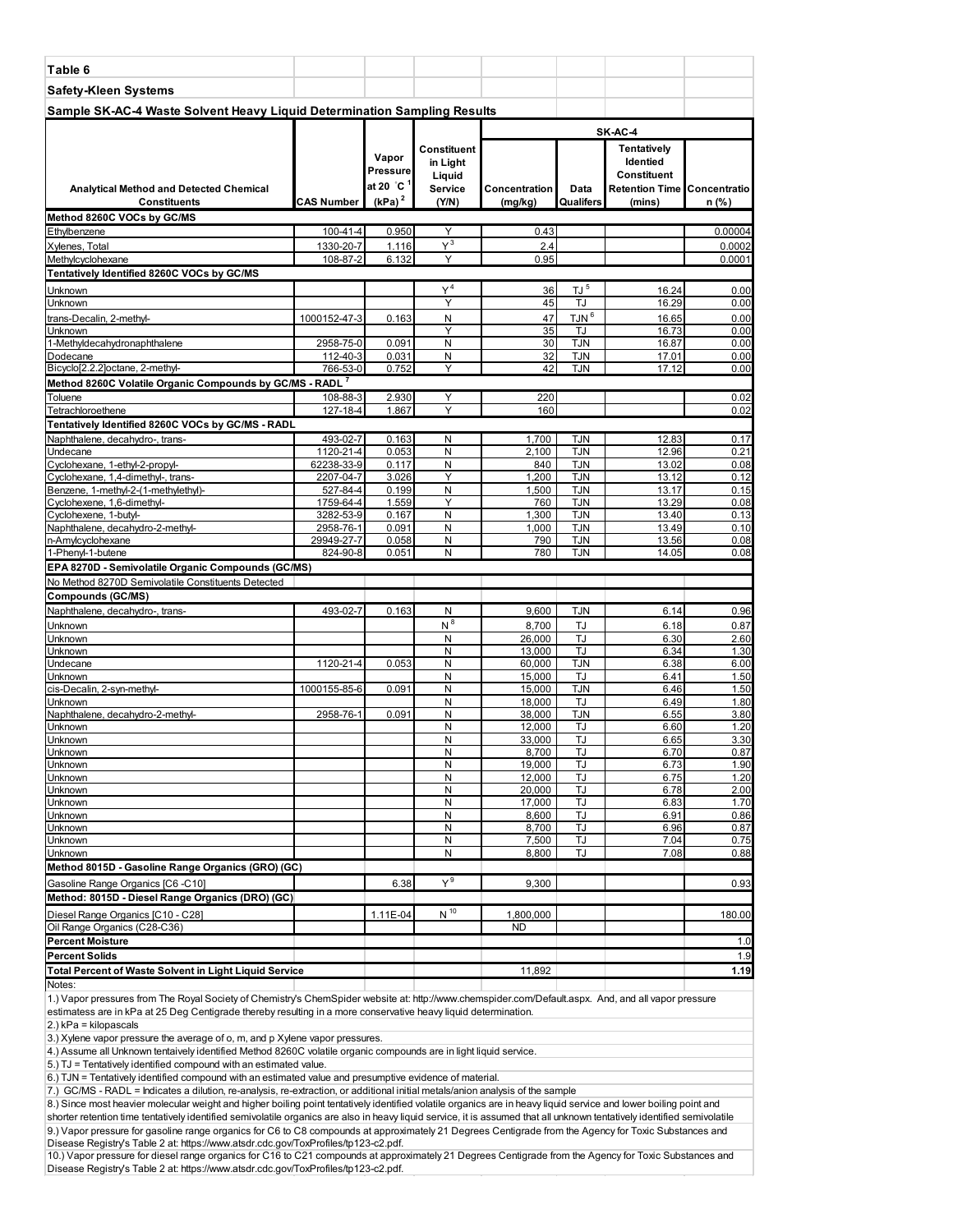| Table 6                                                                                                 |                         |                                            |                                              |                  |                          |                                                                                     |              |
|---------------------------------------------------------------------------------------------------------|-------------------------|--------------------------------------------|----------------------------------------------|------------------|--------------------------|-------------------------------------------------------------------------------------|--------------|
| <b>Safety-Kleen Systems</b>                                                                             |                         |                                            |                                              |                  |                          |                                                                                     |              |
| Sample SK-AC-4 Waste Solvent Heavy Liquid Determination Sampling Results                                |                         |                                            |                                              |                  |                          |                                                                                     |              |
|                                                                                                         |                         |                                            |                                              |                  |                          | SK-AC-4                                                                             |              |
| <b>Analytical Method and Detected Chemical</b>                                                          |                         | Vapor<br>Pressure<br>at 20 °C <sup>1</sup> | Constituent<br>in Liaht<br>Liquid<br>Service | Concentration    | Data                     | Tentatively<br>Identied<br><b>Constituent</b><br><b>Retention Time Concentratio</b> |              |
| <b>Constituents</b><br>Method 8260C VOCs by GC/MS                                                       | CAS Number              | $(kPa)^2$                                  | (Y/N)                                        | (mg/kg)          | Qualifers                | (mins)                                                                              | n (%)        |
| Ethylbenzene                                                                                            | 100-41-4                | 0.950                                      | Υ                                            | 0.43             |                          |                                                                                     | 0.00004      |
| Xylenes, Total                                                                                          | 1330-20-7               | 1.116                                      | $Y^3$                                        | 2.4              |                          |                                                                                     | 0.0002       |
| Methylcyclohexane                                                                                       | 108-87-2                | 6.132                                      | Y                                            | 0.95             |                          |                                                                                     | 0.0001       |
| Tentatively Identified 8260C VOCs by GC/MS                                                              |                         |                                            |                                              |                  |                          |                                                                                     |              |
| Jnknown                                                                                                 |                         |                                            | Y <sup>4</sup><br>Y                          | 36               | $\overline{L}$ $J^5$     | 16.24                                                                               | 0.00         |
| Jnknown<br>trans-Decalin, 2-methyl-                                                                     | 1000152-47-3            | 0.163                                      | N                                            | 45<br>47         | TJ<br>TJN <sup>6</sup>   | 16.29<br>16.65                                                                      | 0.00<br>0.00 |
| Jnknown                                                                                                 |                         |                                            | Υ                                            | 35               | TJ                       | 16.73                                                                               | 0.00         |
| 1-Methyldecahydronaphthalene                                                                            | 2958-75-0               | 0.091                                      | N                                            | 30               | <b>TJN</b>               | 16.87                                                                               | 0.00         |
| Dodecane                                                                                                | 112-40-3                | 0.031                                      | Ν<br>Y                                       | 32<br>42         | <b>TJN</b><br><b>TJN</b> | 17.01                                                                               | 0.00         |
| Bicyclo[2.2.2]octane, 2-methyl-<br>Method 8260C Volatile Organic Compounds by GC/MS - RADL <sup>7</sup> | 766-53-0                | 0.752                                      |                                              |                  |                          | 17.12                                                                               | 0.00         |
| <b>Toluene</b>                                                                                          | 108-88-3                | 2.930                                      | Y                                            | 220              |                          |                                                                                     | 0.02         |
| Tetrachloroethene                                                                                       | 127-18-4                | 1.867                                      | Υ                                            | 160              |                          |                                                                                     | 0.02         |
| Tentatively Identified 8260C VOCs by GC/MS - RADL                                                       |                         |                                            |                                              |                  |                          |                                                                                     |              |
| Naphthalene, decahydro-, trans-                                                                         | 493-02-7                | 0.163                                      | N                                            | 1,700            | TJN                      | 12.83                                                                               | 0.17         |
| Undecane<br>Cyclohexane, 1-ethyl-2-propyl-                                                              | 1120-21-4<br>62238-33-9 | 0.053<br>0.117                             | N<br>N                                       | 2,100<br>840     | <b>TJN</b><br><b>TJN</b> | 12.96<br>13.02                                                                      | 0.21<br>0.08 |
| Cyclohexane, 1,4-dimethyl-, trans-                                                                      | 2207-04-7               | 3.026                                      | Y                                            | 1,200            | <b>TJN</b>               | 13.12                                                                               | 0.12         |
| Benzene, 1-methyl-2-(1-methylethyl)-                                                                    | 527-84-4                | 0.199                                      | N                                            | 1,500            | <b>TJN</b>               | 13.17                                                                               | 0.15         |
| Cyclohexene, 1,6-dimethyl-                                                                              | 1759-64-4               | 1.559                                      | Y<br>N                                       | 760              | <b>TJN</b><br><b>TJN</b> | 13.29                                                                               | 0.08         |
| Cyclohexene, 1-butyl-<br>Naphthalene, decahydro-2-methyl-                                               | 3282-53-9<br>2958-76-1  | 0.167<br>0.091                             | N                                            | 1,300<br>1,000   | <b>TJN</b>               | 13.40<br>13.49                                                                      | 0.13<br>0.10 |
| n-Amylcyclohexane                                                                                       | 29949-27-7              | 0.058                                      | N                                            | 790              | <b>TJN</b>               | 13.56                                                                               | 0.08         |
| 1-Phenyl-1-butene                                                                                       | 824-90-8                | 0.051                                      | N                                            | 780              | <b>TJN</b>               | 14.05                                                                               | 0.08         |
| EPA 8270D - Semivolatile Organic Compounds (GC/MS)                                                      |                         |                                            |                                              |                  |                          |                                                                                     |              |
| No Method 8270D Semivolatile Constituents Detected                                                      |                         |                                            |                                              |                  |                          |                                                                                     |              |
| <b>Compounds (GC/MS)</b><br>Naphthalene, decahydro-, trans-                                             | 493-02-7                | 0.163                                      | N                                            | 9,600            | TJN                      | 6.14                                                                                | 0.96         |
| Jnknown                                                                                                 |                         |                                            | $N^8$                                        | 8,700            | TJ                       | 6.18                                                                                | 0.87         |
| Jnknown                                                                                                 |                         |                                            | N                                            | 26,000           | TJ                       | 6.30                                                                                | 2.60         |
| Jnknown                                                                                                 |                         |                                            | N                                            | 13,000           | TJ                       | 6.34                                                                                | 1.30         |
| <b>Jndecane</b><br><b>Jnknown</b>                                                                       | 1120-21-4               | 0.053                                      | N<br>N                                       | 60,000<br>15,000 | <b>TJN</b><br>TJ         | 6.38<br>6.41                                                                        | 6.00<br>1.50 |
| cis-Decalin, 2-syn-methyl-                                                                              | 1000155-85-6            | 0.091                                      | N                                            | 15,000           | <b>TJN</b>               | 6.46                                                                                | 1.50         |
| <b>Jnknown</b>                                                                                          |                         |                                            | N                                            | 18.000           | TJ                       | 6.49                                                                                | 1.80         |
| Naphthalene, decahydro-2-methyl-<br>Unknown                                                             | 2958-76-1               | 0.091                                      | N<br>N                                       | 38,000<br>12,000 | <b>TJN</b><br>TJ         | 6.55<br>6.60                                                                        | 3.80<br>1.20 |
| Jnknown                                                                                                 |                         |                                            | N                                            | 33,000           | TJ                       | 6.65                                                                                | 3.30         |
| Unknown                                                                                                 |                         |                                            | Ν                                            | 8,700            | TJ                       | 6.70                                                                                | 0.87         |
| Unknown                                                                                                 |                         |                                            | N                                            | 19,000           | TJ                       | 6.73                                                                                | 1.90         |
| Jnknown<br>Unknown                                                                                      |                         |                                            | Ν<br>Ν                                       | 12,000<br>20,000 | TJ<br>TJ                 | 6.75<br>6.78                                                                        | 1.20<br>2.00 |
| Unknown                                                                                                 |                         |                                            | N                                            | 17,000           | TJ                       | 6.83                                                                                | 1.70         |
| Jnknown                                                                                                 |                         |                                            | Ν                                            | 8,600            | TJ                       | 6.91                                                                                | 0.86         |
| Jnknown<br>Unknown                                                                                      |                         |                                            | N<br>N                                       | 8,700<br>7,500   | TJ<br>TJ                 | 6.96<br>7.04                                                                        | 0.87<br>0.75 |
| Unknown                                                                                                 |                         |                                            | Ν                                            | 8,800            | TJ.                      | 7.08                                                                                | 0.88         |
| Method 8015D - Gasoline Range Organics (GRO) (GC)                                                       |                         |                                            |                                              |                  |                          |                                                                                     |              |
| Gasoline Range Organics [C6 -C10]                                                                       |                         | 6.38                                       | $Y^9$                                        | 9,300            |                          |                                                                                     | 0.93         |
| Method: 8015D - Diesel Range Organics (DRO) (GC)                                                        |                         |                                            |                                              |                  |                          |                                                                                     |              |
| Diesel Range Organics [C10 - C28]                                                                       |                         | 1.11E-04                                   | $N^{10}$                                     | 1,800,000        |                          |                                                                                     | 180.00       |
| Oil Range Organics (C28-C36)                                                                            |                         |                                            |                                              | <b>ND</b>        |                          |                                                                                     |              |
| <b>Percent Moisture</b><br><b>Percent Solids</b>                                                        |                         |                                            |                                              |                  |                          |                                                                                     | 1.0<br>1.9   |
| Total Percent of Waste Solvent in Light Liquid Service                                                  |                         |                                            |                                              | 11,892           |                          |                                                                                     | <u>1.19</u>  |
| Notes:                                                                                                  |                         |                                            |                                              |                  |                          |                                                                                     |              |

2.) kPa = kilopascals

3.) Xylene vapor pressure the average of o, m, and p Xylene vapor pressures.

4.) Assume all Unknown tentaively identified Method 8260C volatile organic compounds are in light liquid service.

5.) TJ = Tentatively identified compound with an estimated value.

6.) TJN = Tentatively identified compound with an estimated value and presumptive evidence of material.

7.) GC/MS - RADL = Indicates a dilution, re-analysis, re-extraction, or additional initial metals/anion analysis of the sample

9.) Vapor pressure for gasoline range organics for C6 to C8 compounds at approximately 21 Degrees Centigrade from the Agency for Toxic Substances and Disease Registry's Table 2 at: https://www.atsdr.cdc.gov/ToxProfiles/tp123-c2.pdf. 8.) Since most heavier molecular weight and higher boiling point tentatively identified volatile organics are in heavy liquid service and lower boiling point and shorter retention time tentatively identified semivolatile organics are also in heavy liquid service, it is assumed that all unknown tentatively identified semivolatile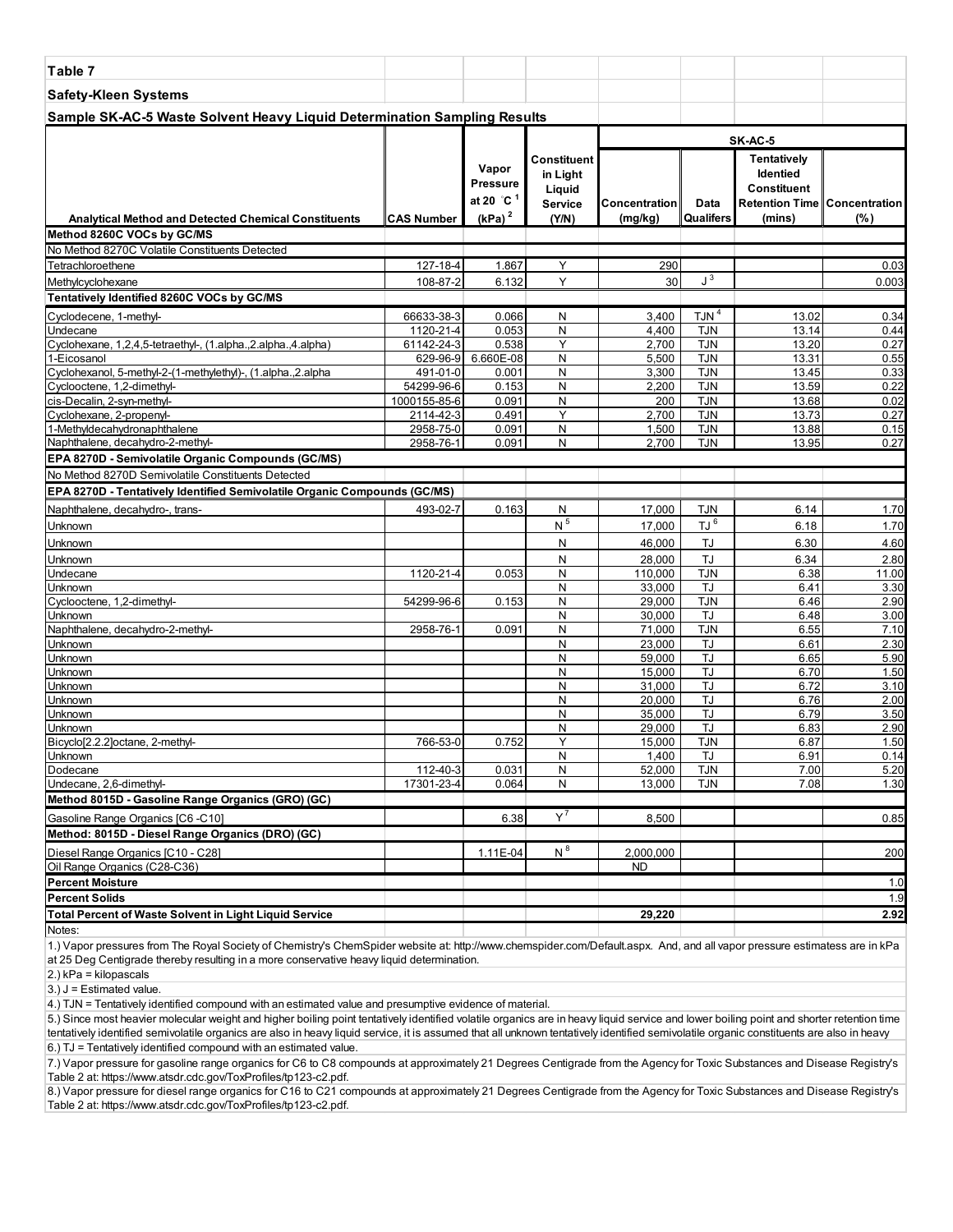| Table 7                                                                               |                           |                                                                 |                                                       |                          |                          |                                                                                  |                          |
|---------------------------------------------------------------------------------------|---------------------------|-----------------------------------------------------------------|-------------------------------------------------------|--------------------------|--------------------------|----------------------------------------------------------------------------------|--------------------------|
| <b>Safety-Kleen Systems</b>                                                           |                           |                                                                 |                                                       |                          |                          |                                                                                  |                          |
| Sample SK-AC-5 Waste Solvent Heavy Liquid Determination Sampling Results              |                           |                                                                 |                                                       |                          |                          |                                                                                  |                          |
|                                                                                       |                           |                                                                 |                                                       |                          |                          | SK-AC-5                                                                          |                          |
| <b>Analytical Method and Detected Chemical Constituents</b>                           | CAS Number                | Vapor<br>Pressure<br>at 20 $^{\circ}$ C $^{\circ}$<br>$(kPa)^2$ | Constituent<br>in Light<br>Liquid<br>Service<br>(Y/N) | Concentration<br>(mg/kg) | Data<br>Qualifers        | Tentatively<br>Identied<br>Constituent<br>Retention Time Concentration<br>(mins) | $(\%)$                   |
| Method 8260C VOCs by GC/MS                                                            |                           |                                                                 |                                                       |                          |                          |                                                                                  |                          |
| No Method 8270C Volatile Constituents Detected                                        |                           |                                                                 |                                                       |                          |                          |                                                                                  |                          |
| Tetrachloroethene                                                                     | 127-18-4                  | 1.867                                                           | Y                                                     | 290                      |                          |                                                                                  | 0.03                     |
| Methylcyclohexane                                                                     | 108-87-2                  | 6.132                                                           | Υ                                                     | 30                       | $J^3$                    |                                                                                  | 0.003                    |
| Tentatively Identified 8260C VOCs by GC/MS                                            |                           |                                                                 |                                                       |                          |                          |                                                                                  |                          |
| Cyclodecene, 1-methyl-                                                                | 66633-38-3                | 0.066                                                           | N                                                     | 3,400                    | TJN <sup>4</sup>         | 13.02                                                                            | 0.34                     |
| Undecane                                                                              | 1120-21-4                 | 0.053                                                           | N                                                     | 4,400                    | <b>TJN</b>               | 13.14                                                                            | 0.44                     |
| Cyclohexane, 1,2,4,5-tetraethyl-, (1.alpha.,2.alpha.,4.alpha)                         | 61142-24-3                | 0.538                                                           | Y                                                     | 2,700                    | <b>TJN</b>               | 13.20                                                                            | 0.27                     |
| 1-Eicosanol                                                                           | 629-96-9                  | 6.660E-08                                                       | N                                                     | 5,500                    | <b>TJN</b>               | 13.31                                                                            | 0.55                     |
| Cyclohexanol, 5-methyl-2-(1-methylethyl)-, (1.alpha., 2.alpha                         | 491-01-0                  | 0.001                                                           | N                                                     | 3,300                    | <b>TJN</b>               | 13.45                                                                            | 0.33                     |
| Cyclooctene, 1,2-dimethyl-                                                            | 54299-96-6                | 0.153                                                           | N                                                     | 2,200                    | <b>TJN</b>               | 13.59                                                                            | 0.22                     |
| cis-Decalin, 2-syn-methyl-<br>Cyclohexane, 2-propenyl-                                | 1000155-85-6<br>2114-42-3 | 0.091<br>0.491                                                  | N<br>Υ                                                | 200<br>2,700             | <b>TJN</b><br><b>TJN</b> | 13.68<br>13.73                                                                   | 0.02<br>0.27             |
| 1-Methyldecahydronaphthalene                                                          | 2958-75-0                 | 0.091                                                           | N                                                     | 1,500                    | <b>TJN</b>               | 13.88                                                                            | 0.15                     |
| Naphthalene, decahydro-2-methyl-                                                      | 2958-76-1                 | 0.091                                                           | N                                                     | 2,700                    | <b>TJN</b>               | 13.95                                                                            | 0.27                     |
| EPA 8270D - Semivolatile Organic Compounds (GC/MS)                                    |                           |                                                                 |                                                       |                          |                          |                                                                                  |                          |
| No Method 8270D Semivolatile Constituents Detected                                    |                           |                                                                 |                                                       |                          |                          |                                                                                  |                          |
| EPA 8270D - Tentatively Identified Semivolatile Organic Compounds (GC/MS)             |                           |                                                                 |                                                       |                          |                          |                                                                                  |                          |
| Naphthalene, decahydro-, trans-                                                       | 493-02-7                  | 0.163                                                           | N                                                     | 17,000                   | <b>TJN</b>               | 6.14                                                                             | 1.70                     |
| Unknown                                                                               |                           |                                                                 | $\,$ N $^5$                                           | 17,000                   | TJ <sup>6</sup>          | 6.18                                                                             | 1.70                     |
| Unknown                                                                               |                           |                                                                 | N                                                     | 46,000                   | TJ                       | 6.30                                                                             | 4.60                     |
| Unknown                                                                               |                           |                                                                 | N                                                     | 28,000                   | TJ                       | 6.34                                                                             | 2.80                     |
| Undecane                                                                              | 1120-21-4                 | 0.053                                                           | N                                                     | 110,000                  | <b>TJN</b>               | 6.38                                                                             | 11.00                    |
| Unknown                                                                               |                           |                                                                 | N                                                     | 33,000                   | TJ                       | 6.41                                                                             | 3.30                     |
| Cyclooctene, 1,2-dimethyl-                                                            | 54299-96-6                | 0.153                                                           | N                                                     | 29,000                   | <b>TJN</b>               | 6.46                                                                             | 2.90                     |
| <b>Unknown</b>                                                                        |                           |                                                                 | N                                                     | 30,000                   | TJ                       | 6.48                                                                             | 3.00                     |
| Naphthalene, decahydro-2-methyl-                                                      | 2958-76-1                 | 0.091                                                           | N                                                     | 71,000                   | <b>TJN</b>               | 6.55                                                                             | 7.10                     |
| Unknown                                                                               |                           |                                                                 | N                                                     | 23,000                   | TJ                       | 6.61                                                                             | 2.30                     |
| Unknown<br>Unknown                                                                    |                           |                                                                 | N<br>N                                                | 59,000<br>15,000         | <b>TJ</b><br>TJ          | 6.65<br>6.70                                                                     | 5.90<br>1.50             |
| Unknown                                                                               |                           |                                                                 | N                                                     | 31.000                   | <b>TJ</b>                | 6.72                                                                             | 3.10                     |
| Unknown                                                                               |                           |                                                                 | N                                                     | 20,000                   | TJ                       | 6.76                                                                             | 2.00                     |
| Unknown                                                                               |                           |                                                                 | N                                                     | 35,000                   | <b>TJ</b>                | 6.79                                                                             | 3.50                     |
| Unknown                                                                               |                           |                                                                 | N                                                     | 29,000                   | TJ                       | 6.83                                                                             | 2.90                     |
| Bicyclo[2.2.2]octane, 2-methyl-                                                       | 766-53-0                  | 0.752                                                           | Y                                                     | 15,000                   | <b>TJN</b>               | 6.87                                                                             | 1.50                     |
| ∥Unknown                                                                              |                           |                                                                 | N                                                     | <u> 1,400 </u>           | IJ                       | 6.91                                                                             | 0.14                     |
| Dodecane<br>Undecane, 2,6-dimethyl-                                                   | 112-40-3<br>17301-23-4    | 0.031<br>0.064                                                  | N<br>N                                                | 52,000<br>13,000         | <b>TJN</b><br>TJN        | 7.00<br>7.08                                                                     | 5.20<br>1.30             |
| Method 8015D - Gasoline Range Organics (GRO) (GC)                                     |                           |                                                                 |                                                       |                          |                          |                                                                                  |                          |
|                                                                                       |                           |                                                                 | $\mathsf{Y}^7$                                        |                          |                          |                                                                                  |                          |
| Gasoline Range Organics [C6 -C10]<br>Method: 8015D - Diesel Range Organics (DRO) (GC) |                           | 6.38                                                            |                                                       | 8,500                    |                          |                                                                                  | 0.85                     |
|                                                                                       |                           |                                                                 |                                                       |                          |                          |                                                                                  |                          |
| Diesel Range Organics [C10 - C28]                                                     |                           | 1.11E-04                                                        | $N^8$                                                 | 2,000,000                |                          |                                                                                  | 200                      |
| Oil Range Organics (C28-C36)<br><b>Percent Moisture</b>                               |                           |                                                                 |                                                       | <b>ND</b>                |                          |                                                                                  | 1.0                      |
| Percent Solids                                                                        |                           |                                                                 |                                                       |                          |                          |                                                                                  |                          |
| <b>Total Percent of Waste Solvent in Light Liquid Service</b>                         |                           |                                                                 |                                                       | 29,220                   |                          |                                                                                  | 1.9<br>$\overline{2.92}$ |
| Notes:                                                                                |                           |                                                                 |                                                       |                          |                          |                                                                                  |                          |
|                                                                                       |                           |                                                                 |                                                       |                          |                          |                                                                                  |                          |

2.) kPa = kilopascals

 $3.$ ) J = Estimated value.

4.) TJN = Tentatively identified compound with an estimated value and presumptive evidence of material.

6.) TJ = Tentatively identified compound with an estimated value. 5.) Since most heavier molecular weight and higher boiling point tentatively identified volatile organics are in heavy liquid service and lower boiling point and shorter retention time tentatively identified semivolatile organics are also in heavy liquid service, it is assumed that all unknown tentatively identified semivolatile organic constituents are also in heavy

7.) Vapor pressure for gasoline range organics for C6 to C8 compounds at approximately 21 Degrees Centigrade from the Agency for Toxic Substances and Disease Registry's Table 2 at: https://www.atsdr.cdc.gov/ToxProfiles/tp123-c2.pdf.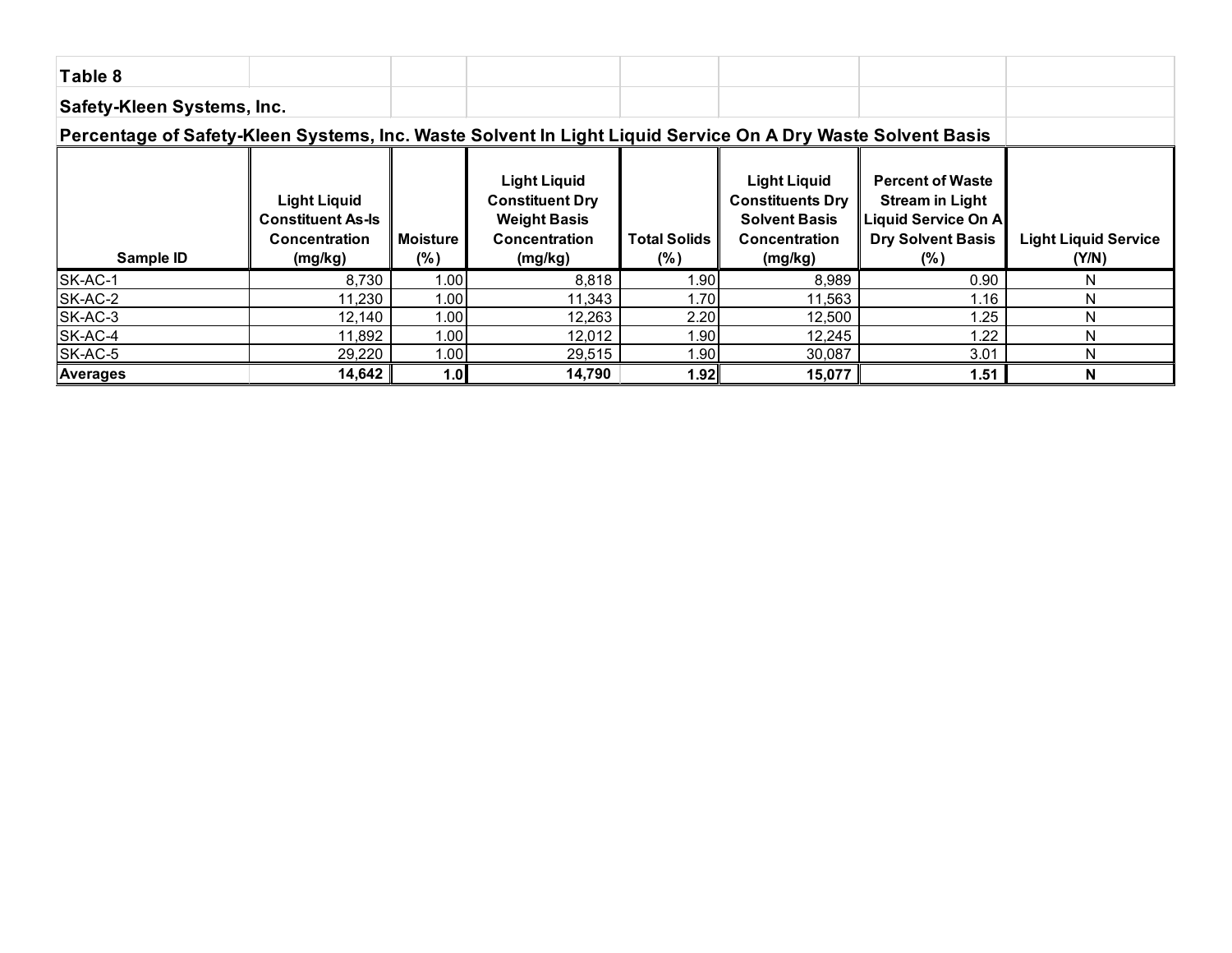| Table 8                                                                                                     |                                                                                    |                           |                                                                                                  |                            |                                                                                                           |                                                                                                                |                                      |
|-------------------------------------------------------------------------------------------------------------|------------------------------------------------------------------------------------|---------------------------|--------------------------------------------------------------------------------------------------|----------------------------|-----------------------------------------------------------------------------------------------------------|----------------------------------------------------------------------------------------------------------------|--------------------------------------|
| Safety-Kleen Systems, Inc.                                                                                  |                                                                                    |                           |                                                                                                  |                            |                                                                                                           |                                                                                                                |                                      |
| Percentage of Safety-Kleen Systems, Inc. Waste Solvent In Light Liquid Service On A Dry Waste Solvent Basis |                                                                                    |                           |                                                                                                  |                            |                                                                                                           |                                                                                                                |                                      |
| Sample ID                                                                                                   | <b>Light Liquid</b><br><b>Constituent As-Is</b><br><b>Concentration</b><br>(mg/kg) | <b>Moisture</b><br>$(\%)$ | <b>Light Liquid</b><br><b>Constituent Dry</b><br><b>Weight Basis</b><br>Concentration<br>(mg/kg) | <b>Total Solids</b><br>(%) | <b>Light Liquid</b><br><b>Constituents Dry</b><br><b>Solvent Basis</b><br><b>Concentration</b><br>(mg/kg) | <b>Percent of Waste</b><br><b>Stream in Light</b><br>Liquid Service On A<br><b>Dry Solvent Basis</b><br>$(\%)$ | <b>Light Liquid Service</b><br>(Y/N) |
| SK-AC-1                                                                                                     | 8,730                                                                              | 1.00                      | 8,818                                                                                            | .90                        | 8,989                                                                                                     | 0.90                                                                                                           | N                                    |
| SK-AC-2                                                                                                     | 11,230                                                                             | 1.00                      | 11,343                                                                                           | 1.70                       | 11,563                                                                                                    | 1.16                                                                                                           | N                                    |
| SK-AC-3                                                                                                     | 12,140                                                                             | 1.00                      | 12,263                                                                                           | 2.20                       | 12,500                                                                                                    | 1.25                                                                                                           | N                                    |
| SK-AC-4                                                                                                     | 11,892                                                                             | 1.00                      | 12,012                                                                                           | .90                        | 12,245                                                                                                    | 1.22                                                                                                           | N                                    |
| SK-AC-5                                                                                                     | 29,220                                                                             | 1.00                      | 29,515                                                                                           | .90                        | 30,087                                                                                                    | 3.01                                                                                                           | N                                    |
| <b>Averages</b>                                                                                             | 14,642                                                                             | 1.0                       | 14,790                                                                                           | 1.92                       | 15,077                                                                                                    | 1.51                                                                                                           | N                                    |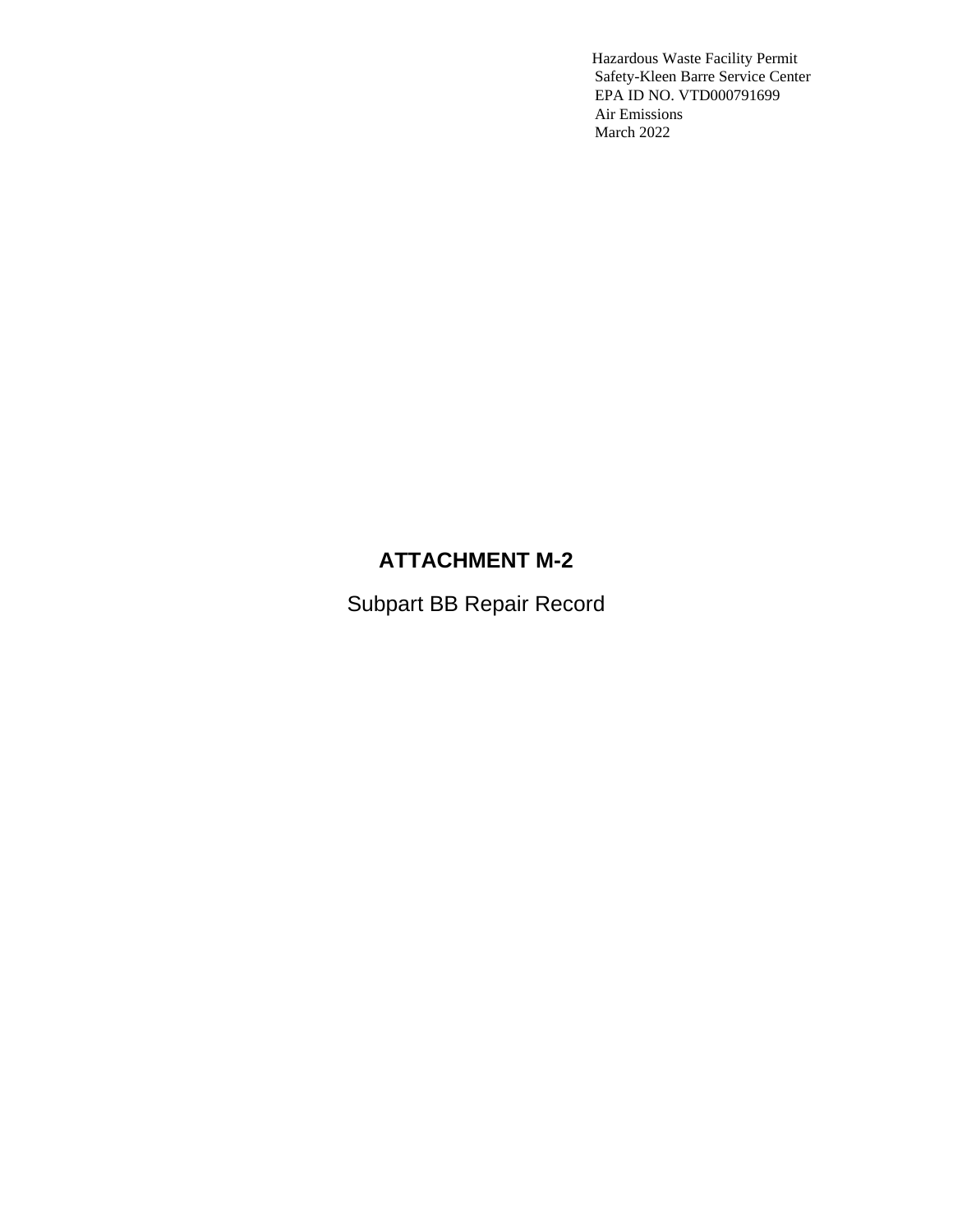## **ATTACHMENT M-2**

Subpart BB Repair Record